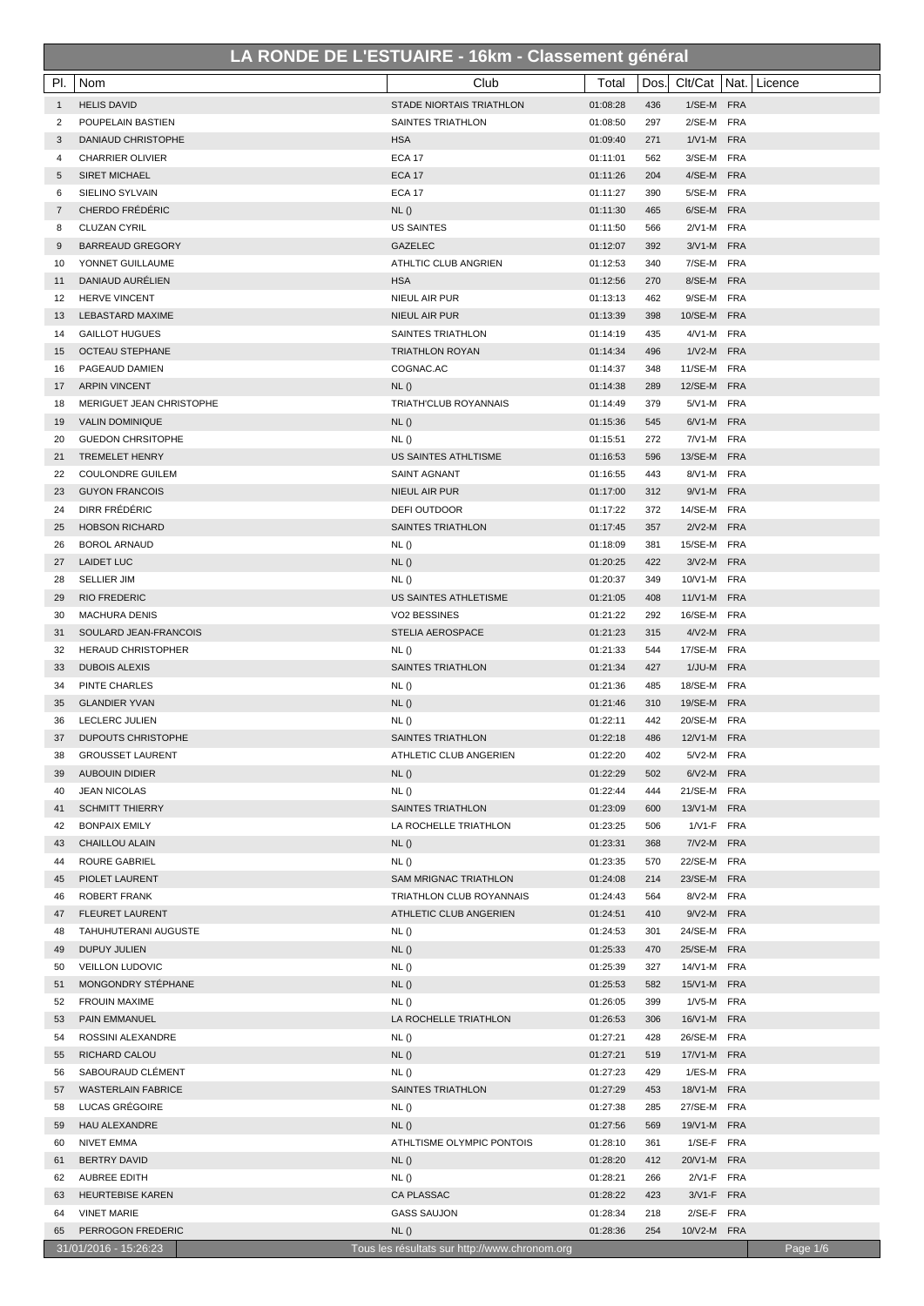| Clt/Cat   Nat.   Licence<br><b>HELIS DAVID</b><br><b>STADE NIORTAIS TRIATHLON</b><br>01:08:28<br>436<br>1/SE-M FRA<br>$\mathbf{1}$<br>POUPELAIN BASTIEN<br>SAINTES TRIATHLON<br>01:08:50<br>297<br>2/SE-M FRA<br>2<br>DANIAUD CHRISTOPHE<br><b>HSA</b><br>01:09:40<br>271<br>1/V1-M FRA<br>3<br><b>ECA 17</b><br>01:11:01<br>562<br>3/SE-M FRA<br><b>CHARRIER OLIVIER</b><br>4<br>4/SE-M FRA<br><b>SIRET MICHAEL</b><br><b>ECA 17</b><br>01:11:26<br>204<br>5<br>5/SE-M FRA<br><b>SIELINO SYLVAIN</b><br><b>ECA 17</b><br>01:11:27<br>390<br>6<br>CHERDO FRÉDÉRIC<br>6/SE-M FRA<br>NL()<br>01:11:30<br>465<br>7<br>566<br>2/V1-M FRA<br><b>CLUZAN CYRIL</b><br><b>US SAINTES</b><br>01:11:50<br>8<br><b>BARREAUD GREGORY</b><br><b>GAZELEC</b><br>01:12:07<br>392<br>3/V1-M FRA<br>9<br>01:12:53<br>7/SE-M FRA<br>YONNET GUILLAUME<br>ATHLTIC CLUB ANGRIEN<br>340<br>10<br><b>HSA</b><br>8/SE-M FRA<br>DANIAUD AURÉLIEN<br>01:12:56<br>270<br>11<br>9/SE-M FRA<br><b>HERVE VINCENT</b><br>NIEUL AIR PUR<br>01:13:13<br>462<br>12<br>10/SE-M FRA<br><b>LEBASTARD MAXIME</b><br>NIEUL AIR PUR<br>01:13:39<br>398<br>13<br>01:14:19<br>435<br>4/V1-M FRA<br><b>GAILLOT HUGUES</b><br>SAINTES TRIATHLON<br>14<br>1/V2-M FRA<br><b>OCTEAU STEPHANE</b><br>01:14:34<br>496<br><b>TRIATHLON ROYAN</b><br>15<br>COGNAC.AC<br>01:14:37<br>348<br>11/SE-M FRA<br>PAGEAUD DAMIEN<br>16<br>12/SE-M FRA<br><b>ARPIN VINCENT</b><br>NL()<br>01:14:38<br>289<br>17<br>MERIGUET JEAN CHRISTOPHE<br>TRIATH'CLUB ROYANNAIS<br>01:14:49<br>379<br>5/V1-M FRA<br>18<br>6/V1-M FRA<br><b>VALIN DOMINIQUE</b><br>NL()<br>01:15:36<br>545<br>19<br>GUEDON CHRSITOPHE<br>01:15:51<br>272<br>7/V1-M FRA<br>NL()<br>20<br><b>TREMELET HENRY</b><br>US SAINTES ATHLTISME<br>01:16:53<br>596<br>13/SE-M FRA<br>21<br>01:16:55<br>8/V1-M FRA<br><b>COULONDRE GUILEM</b><br><b>SAINT AGNANT</b><br>443<br>22<br><b>GUYON FRANCOIS</b><br>9/V1-M FRA<br>NIEUL AIR PUR<br>01:17:00<br>312<br>23<br>DIRR FRÉDÉRIC<br>372<br>14/SE-M FRA<br>24<br>DEFI OUTDOOR<br>01:17:22<br>2/V2-M FRA<br><b>HOBSON RICHARD</b><br><b>SAINTES TRIATHLON</b><br>01:17:45<br>357<br>25<br>15/SE-M FRA<br><b>BOROL ARNAUD</b><br>NL()<br>01:18:09<br>381<br>26<br>NL()<br>01:20:25<br>422<br>3/V2-M FRA<br><b>LAIDET LUC</b><br>27<br>01:20:37<br>10/V1-M FRA<br><b>SELLIER JIM</b><br>NL()<br>349<br>28<br>01:21:05<br><b>RIO FREDERIC</b><br>US SAINTES ATHLETISME<br>408<br>11/V1-M FRA<br>29<br>01:21:22<br>292<br>16/SE-M FRA<br><b>MACHURA DENIS</b><br>VO2 BESSINES<br>30<br>4/V2-M FRA<br>SOULARD JEAN-FRANCOIS<br><b>STELIA AEROSPACE</b><br>01:21:23<br>315<br>31<br>01:21:33<br>17/SE-M FRA<br>32<br><b>HERAUD CHRISTOPHER</b><br>NL()<br>544<br>1/JU-M FRA<br><b>SAINTES TRIATHLON</b><br>01:21:34<br>427<br>33<br><b>DUBOIS ALEXIS</b><br>NL()<br>01:21:36<br>485<br>18/SE-M FRA<br>PINTE CHARLES<br>34<br>NL()<br><b>GLANDIER YVAN</b><br>01:21:46<br>310<br>19/SE-M FRA<br>35<br>LECLERC JULIEN<br>NL()<br>01:22:11<br>442<br>20/SE-M FRA<br>36<br>01:22:18<br>12/V1-M FRA<br><b>DUPOUTS CHRISTOPHE</b><br><b>SAINTES TRIATHLON</b><br>486<br>37<br>01:22:20<br>402<br>5/V2-M FRA<br>38<br><b>GROUSSET LAURENT</b><br>ATHLETIC CLUB ANGERIEN<br><b>AUBOUIN DIDIER</b><br>NL()<br>01:22:29<br>502<br>6/V2-M FRA<br>39<br>NL()<br>21/SE-M FRA<br><b>JEAN NICOLAS</b><br>01:22:44<br>444<br>40<br>01:23:09<br>13/V1-M FRA<br><b>SCHMITT THIERRY</b><br>SAINTES TRIATHLON<br>600<br>41<br>01:23:25<br>1/V1-F FRA<br>42<br><b>BONPAIX EMILY</b><br>LA ROCHELLE TRIATHLON<br>506<br>NL()<br>01:23:31<br>7/V2-M FRA<br><b>CHAILLOU ALAIN</b><br>368<br>43<br>NL()<br>01:23:35<br>22/SE-M FRA<br>ROURE GABRIEL<br>570<br>44<br><b>SAM MRIGNAC TRIATHLON</b><br>01:24:08<br>23/SE-M FRA<br>PIOLET LAURENT<br>214<br>45<br>01:24:43<br>564<br>8/V2-M FRA<br>46<br>ROBERT FRANK<br>TRIATHLON CLUB ROYANNAIS<br>01:24:51<br>9/V2-M FRA<br><b>FLEURET LAURENT</b><br>ATHLETIC CLUB ANGERIEN<br>410<br>47<br>NL()<br>01:24:53<br>24/SE-M FRA<br>TAHUHUTERANI AUGUSTE<br>301<br>48<br>NL()<br>01:25:33<br>25/SE-M FRA<br><b>DUPUY JULIEN</b><br>470<br>49<br>NL()<br>01:25:39<br>14/V1-M FRA<br><b>VEILLON LUDOVIC</b><br>327<br>50<br>NL()<br>01:25:53<br>15/V1-M FRA<br>MONGONDRY STEPHANE<br>582<br>51<br><b>FROUIN MAXIME</b><br>NL()<br>01:26:05<br>399<br>1/V5-M FRA<br>52<br>PAIN EMMANUEL<br>LA ROCHELLE TRIATHLON<br>01:26:53<br>306<br>16/V1-M FRA<br>53<br>01:27:21<br>26/SE-M FRA<br>ROSSINI ALEXANDRE<br>NL()<br>428<br>54<br>NL()<br>01:27:21<br>17/V1-M FRA<br>RICHARD CALOU<br>519<br>55<br>SABOURAUD CLÉMENT<br>NL()<br>01:27:23<br>429<br>1/ES-M FRA<br>56<br>SAINTES TRIATHLON<br>01:27:29<br>18/V1-M FRA<br><b>WASTERLAIN FABRICE</b><br>453<br>57<br>LUCAS GRÉGOIRE<br>NL()<br>01:27:38<br>27/SE-M FRA<br>285<br>58<br>NL()<br>01:27:56<br>19/V1-M FRA<br><b>HAU ALEXANDRE</b><br>569<br>59<br>01:28:10<br>1/SE-F FRA<br>NIVET EMMA<br>ATHLTISME OLYMPIC PONTOIS<br>361<br>60 | PI. | Nom                 | Club | Total    | Dos. |  |
|-------------------------------------------------------------------------------------------------------------------------------------------------------------------------------------------------------------------------------------------------------------------------------------------------------------------------------------------------------------------------------------------------------------------------------------------------------------------------------------------------------------------------------------------------------------------------------------------------------------------------------------------------------------------------------------------------------------------------------------------------------------------------------------------------------------------------------------------------------------------------------------------------------------------------------------------------------------------------------------------------------------------------------------------------------------------------------------------------------------------------------------------------------------------------------------------------------------------------------------------------------------------------------------------------------------------------------------------------------------------------------------------------------------------------------------------------------------------------------------------------------------------------------------------------------------------------------------------------------------------------------------------------------------------------------------------------------------------------------------------------------------------------------------------------------------------------------------------------------------------------------------------------------------------------------------------------------------------------------------------------------------------------------------------------------------------------------------------------------------------------------------------------------------------------------------------------------------------------------------------------------------------------------------------------------------------------------------------------------------------------------------------------------------------------------------------------------------------------------------------------------------------------------------------------------------------------------------------------------------------------------------------------------------------------------------------------------------------------------------------------------------------------------------------------------------------------------------------------------------------------------------------------------------------------------------------------------------------------------------------------------------------------------------------------------------------------------------------------------------------------------------------------------------------------------------------------------------------------------------------------------------------------------------------------------------------------------------------------------------------------------------------------------------------------------------------------------------------------------------------------------------------------------------------------------------------------------------------------------------------------------------------------------------------------------------------------------------------------------------------------------------------------------------------------------------------------------------------------------------------------------------------------------------------------------------------------------------------------------------------------------------------------------------------------------------------------------------------------------------------------------------------------------------------------------------------------------------------------------------------------------------------------------------------------------------------------------------------------------------------------------------------------------------------------------------------------------------------------------------------------------------------------------------------------------------------------------------------------------------------------------------------------------------------------------------------------------------------------------------------------------------------------------------------------------------------------------------------------------------------------------------------------------------------------------------------------|-----|---------------------|------|----------|------|--|
|                                                                                                                                                                                                                                                                                                                                                                                                                                                                                                                                                                                                                                                                                                                                                                                                                                                                                                                                                                                                                                                                                                                                                                                                                                                                                                                                                                                                                                                                                                                                                                                                                                                                                                                                                                                                                                                                                                                                                                                                                                                                                                                                                                                                                                                                                                                                                                                                                                                                                                                                                                                                                                                                                                                                                                                                                                                                                                                                                                                                                                                                                                                                                                                                                                                                                                                                                                                                                                                                                                                                                                                                                                                                                                                                                                                                                                                                                                                                                                                                                                                                                                                                                                                                                                                                                                                                                                                                                                                                                                                                                                                                                                                                                                                                                                                                                                                                                                                                                 |     |                     |      |          |      |  |
|                                                                                                                                                                                                                                                                                                                                                                                                                                                                                                                                                                                                                                                                                                                                                                                                                                                                                                                                                                                                                                                                                                                                                                                                                                                                                                                                                                                                                                                                                                                                                                                                                                                                                                                                                                                                                                                                                                                                                                                                                                                                                                                                                                                                                                                                                                                                                                                                                                                                                                                                                                                                                                                                                                                                                                                                                                                                                                                                                                                                                                                                                                                                                                                                                                                                                                                                                                                                                                                                                                                                                                                                                                                                                                                                                                                                                                                                                                                                                                                                                                                                                                                                                                                                                                                                                                                                                                                                                                                                                                                                                                                                                                                                                                                                                                                                                                                                                                                                                 |     |                     |      |          |      |  |
|                                                                                                                                                                                                                                                                                                                                                                                                                                                                                                                                                                                                                                                                                                                                                                                                                                                                                                                                                                                                                                                                                                                                                                                                                                                                                                                                                                                                                                                                                                                                                                                                                                                                                                                                                                                                                                                                                                                                                                                                                                                                                                                                                                                                                                                                                                                                                                                                                                                                                                                                                                                                                                                                                                                                                                                                                                                                                                                                                                                                                                                                                                                                                                                                                                                                                                                                                                                                                                                                                                                                                                                                                                                                                                                                                                                                                                                                                                                                                                                                                                                                                                                                                                                                                                                                                                                                                                                                                                                                                                                                                                                                                                                                                                                                                                                                                                                                                                                                                 |     |                     |      |          |      |  |
|                                                                                                                                                                                                                                                                                                                                                                                                                                                                                                                                                                                                                                                                                                                                                                                                                                                                                                                                                                                                                                                                                                                                                                                                                                                                                                                                                                                                                                                                                                                                                                                                                                                                                                                                                                                                                                                                                                                                                                                                                                                                                                                                                                                                                                                                                                                                                                                                                                                                                                                                                                                                                                                                                                                                                                                                                                                                                                                                                                                                                                                                                                                                                                                                                                                                                                                                                                                                                                                                                                                                                                                                                                                                                                                                                                                                                                                                                                                                                                                                                                                                                                                                                                                                                                                                                                                                                                                                                                                                                                                                                                                                                                                                                                                                                                                                                                                                                                                                                 |     |                     |      |          |      |  |
|                                                                                                                                                                                                                                                                                                                                                                                                                                                                                                                                                                                                                                                                                                                                                                                                                                                                                                                                                                                                                                                                                                                                                                                                                                                                                                                                                                                                                                                                                                                                                                                                                                                                                                                                                                                                                                                                                                                                                                                                                                                                                                                                                                                                                                                                                                                                                                                                                                                                                                                                                                                                                                                                                                                                                                                                                                                                                                                                                                                                                                                                                                                                                                                                                                                                                                                                                                                                                                                                                                                                                                                                                                                                                                                                                                                                                                                                                                                                                                                                                                                                                                                                                                                                                                                                                                                                                                                                                                                                                                                                                                                                                                                                                                                                                                                                                                                                                                                                                 |     |                     |      |          |      |  |
|                                                                                                                                                                                                                                                                                                                                                                                                                                                                                                                                                                                                                                                                                                                                                                                                                                                                                                                                                                                                                                                                                                                                                                                                                                                                                                                                                                                                                                                                                                                                                                                                                                                                                                                                                                                                                                                                                                                                                                                                                                                                                                                                                                                                                                                                                                                                                                                                                                                                                                                                                                                                                                                                                                                                                                                                                                                                                                                                                                                                                                                                                                                                                                                                                                                                                                                                                                                                                                                                                                                                                                                                                                                                                                                                                                                                                                                                                                                                                                                                                                                                                                                                                                                                                                                                                                                                                                                                                                                                                                                                                                                                                                                                                                                                                                                                                                                                                                                                                 |     |                     |      |          |      |  |
|                                                                                                                                                                                                                                                                                                                                                                                                                                                                                                                                                                                                                                                                                                                                                                                                                                                                                                                                                                                                                                                                                                                                                                                                                                                                                                                                                                                                                                                                                                                                                                                                                                                                                                                                                                                                                                                                                                                                                                                                                                                                                                                                                                                                                                                                                                                                                                                                                                                                                                                                                                                                                                                                                                                                                                                                                                                                                                                                                                                                                                                                                                                                                                                                                                                                                                                                                                                                                                                                                                                                                                                                                                                                                                                                                                                                                                                                                                                                                                                                                                                                                                                                                                                                                                                                                                                                                                                                                                                                                                                                                                                                                                                                                                                                                                                                                                                                                                                                                 |     |                     |      |          |      |  |
|                                                                                                                                                                                                                                                                                                                                                                                                                                                                                                                                                                                                                                                                                                                                                                                                                                                                                                                                                                                                                                                                                                                                                                                                                                                                                                                                                                                                                                                                                                                                                                                                                                                                                                                                                                                                                                                                                                                                                                                                                                                                                                                                                                                                                                                                                                                                                                                                                                                                                                                                                                                                                                                                                                                                                                                                                                                                                                                                                                                                                                                                                                                                                                                                                                                                                                                                                                                                                                                                                                                                                                                                                                                                                                                                                                                                                                                                                                                                                                                                                                                                                                                                                                                                                                                                                                                                                                                                                                                                                                                                                                                                                                                                                                                                                                                                                                                                                                                                                 |     |                     |      |          |      |  |
|                                                                                                                                                                                                                                                                                                                                                                                                                                                                                                                                                                                                                                                                                                                                                                                                                                                                                                                                                                                                                                                                                                                                                                                                                                                                                                                                                                                                                                                                                                                                                                                                                                                                                                                                                                                                                                                                                                                                                                                                                                                                                                                                                                                                                                                                                                                                                                                                                                                                                                                                                                                                                                                                                                                                                                                                                                                                                                                                                                                                                                                                                                                                                                                                                                                                                                                                                                                                                                                                                                                                                                                                                                                                                                                                                                                                                                                                                                                                                                                                                                                                                                                                                                                                                                                                                                                                                                                                                                                                                                                                                                                                                                                                                                                                                                                                                                                                                                                                                 |     |                     |      |          |      |  |
|                                                                                                                                                                                                                                                                                                                                                                                                                                                                                                                                                                                                                                                                                                                                                                                                                                                                                                                                                                                                                                                                                                                                                                                                                                                                                                                                                                                                                                                                                                                                                                                                                                                                                                                                                                                                                                                                                                                                                                                                                                                                                                                                                                                                                                                                                                                                                                                                                                                                                                                                                                                                                                                                                                                                                                                                                                                                                                                                                                                                                                                                                                                                                                                                                                                                                                                                                                                                                                                                                                                                                                                                                                                                                                                                                                                                                                                                                                                                                                                                                                                                                                                                                                                                                                                                                                                                                                                                                                                                                                                                                                                                                                                                                                                                                                                                                                                                                                                                                 |     |                     |      |          |      |  |
|                                                                                                                                                                                                                                                                                                                                                                                                                                                                                                                                                                                                                                                                                                                                                                                                                                                                                                                                                                                                                                                                                                                                                                                                                                                                                                                                                                                                                                                                                                                                                                                                                                                                                                                                                                                                                                                                                                                                                                                                                                                                                                                                                                                                                                                                                                                                                                                                                                                                                                                                                                                                                                                                                                                                                                                                                                                                                                                                                                                                                                                                                                                                                                                                                                                                                                                                                                                                                                                                                                                                                                                                                                                                                                                                                                                                                                                                                                                                                                                                                                                                                                                                                                                                                                                                                                                                                                                                                                                                                                                                                                                                                                                                                                                                                                                                                                                                                                                                                 |     |                     |      |          |      |  |
|                                                                                                                                                                                                                                                                                                                                                                                                                                                                                                                                                                                                                                                                                                                                                                                                                                                                                                                                                                                                                                                                                                                                                                                                                                                                                                                                                                                                                                                                                                                                                                                                                                                                                                                                                                                                                                                                                                                                                                                                                                                                                                                                                                                                                                                                                                                                                                                                                                                                                                                                                                                                                                                                                                                                                                                                                                                                                                                                                                                                                                                                                                                                                                                                                                                                                                                                                                                                                                                                                                                                                                                                                                                                                                                                                                                                                                                                                                                                                                                                                                                                                                                                                                                                                                                                                                                                                                                                                                                                                                                                                                                                                                                                                                                                                                                                                                                                                                                                                 |     |                     |      |          |      |  |
|                                                                                                                                                                                                                                                                                                                                                                                                                                                                                                                                                                                                                                                                                                                                                                                                                                                                                                                                                                                                                                                                                                                                                                                                                                                                                                                                                                                                                                                                                                                                                                                                                                                                                                                                                                                                                                                                                                                                                                                                                                                                                                                                                                                                                                                                                                                                                                                                                                                                                                                                                                                                                                                                                                                                                                                                                                                                                                                                                                                                                                                                                                                                                                                                                                                                                                                                                                                                                                                                                                                                                                                                                                                                                                                                                                                                                                                                                                                                                                                                                                                                                                                                                                                                                                                                                                                                                                                                                                                                                                                                                                                                                                                                                                                                                                                                                                                                                                                                                 |     |                     |      |          |      |  |
|                                                                                                                                                                                                                                                                                                                                                                                                                                                                                                                                                                                                                                                                                                                                                                                                                                                                                                                                                                                                                                                                                                                                                                                                                                                                                                                                                                                                                                                                                                                                                                                                                                                                                                                                                                                                                                                                                                                                                                                                                                                                                                                                                                                                                                                                                                                                                                                                                                                                                                                                                                                                                                                                                                                                                                                                                                                                                                                                                                                                                                                                                                                                                                                                                                                                                                                                                                                                                                                                                                                                                                                                                                                                                                                                                                                                                                                                                                                                                                                                                                                                                                                                                                                                                                                                                                                                                                                                                                                                                                                                                                                                                                                                                                                                                                                                                                                                                                                                                 |     |                     |      |          |      |  |
|                                                                                                                                                                                                                                                                                                                                                                                                                                                                                                                                                                                                                                                                                                                                                                                                                                                                                                                                                                                                                                                                                                                                                                                                                                                                                                                                                                                                                                                                                                                                                                                                                                                                                                                                                                                                                                                                                                                                                                                                                                                                                                                                                                                                                                                                                                                                                                                                                                                                                                                                                                                                                                                                                                                                                                                                                                                                                                                                                                                                                                                                                                                                                                                                                                                                                                                                                                                                                                                                                                                                                                                                                                                                                                                                                                                                                                                                                                                                                                                                                                                                                                                                                                                                                                                                                                                                                                                                                                                                                                                                                                                                                                                                                                                                                                                                                                                                                                                                                 |     |                     |      |          |      |  |
|                                                                                                                                                                                                                                                                                                                                                                                                                                                                                                                                                                                                                                                                                                                                                                                                                                                                                                                                                                                                                                                                                                                                                                                                                                                                                                                                                                                                                                                                                                                                                                                                                                                                                                                                                                                                                                                                                                                                                                                                                                                                                                                                                                                                                                                                                                                                                                                                                                                                                                                                                                                                                                                                                                                                                                                                                                                                                                                                                                                                                                                                                                                                                                                                                                                                                                                                                                                                                                                                                                                                                                                                                                                                                                                                                                                                                                                                                                                                                                                                                                                                                                                                                                                                                                                                                                                                                                                                                                                                                                                                                                                                                                                                                                                                                                                                                                                                                                                                                 |     |                     |      |          |      |  |
|                                                                                                                                                                                                                                                                                                                                                                                                                                                                                                                                                                                                                                                                                                                                                                                                                                                                                                                                                                                                                                                                                                                                                                                                                                                                                                                                                                                                                                                                                                                                                                                                                                                                                                                                                                                                                                                                                                                                                                                                                                                                                                                                                                                                                                                                                                                                                                                                                                                                                                                                                                                                                                                                                                                                                                                                                                                                                                                                                                                                                                                                                                                                                                                                                                                                                                                                                                                                                                                                                                                                                                                                                                                                                                                                                                                                                                                                                                                                                                                                                                                                                                                                                                                                                                                                                                                                                                                                                                                                                                                                                                                                                                                                                                                                                                                                                                                                                                                                                 |     |                     |      |          |      |  |
|                                                                                                                                                                                                                                                                                                                                                                                                                                                                                                                                                                                                                                                                                                                                                                                                                                                                                                                                                                                                                                                                                                                                                                                                                                                                                                                                                                                                                                                                                                                                                                                                                                                                                                                                                                                                                                                                                                                                                                                                                                                                                                                                                                                                                                                                                                                                                                                                                                                                                                                                                                                                                                                                                                                                                                                                                                                                                                                                                                                                                                                                                                                                                                                                                                                                                                                                                                                                                                                                                                                                                                                                                                                                                                                                                                                                                                                                                                                                                                                                                                                                                                                                                                                                                                                                                                                                                                                                                                                                                                                                                                                                                                                                                                                                                                                                                                                                                                                                                 |     |                     |      |          |      |  |
|                                                                                                                                                                                                                                                                                                                                                                                                                                                                                                                                                                                                                                                                                                                                                                                                                                                                                                                                                                                                                                                                                                                                                                                                                                                                                                                                                                                                                                                                                                                                                                                                                                                                                                                                                                                                                                                                                                                                                                                                                                                                                                                                                                                                                                                                                                                                                                                                                                                                                                                                                                                                                                                                                                                                                                                                                                                                                                                                                                                                                                                                                                                                                                                                                                                                                                                                                                                                                                                                                                                                                                                                                                                                                                                                                                                                                                                                                                                                                                                                                                                                                                                                                                                                                                                                                                                                                                                                                                                                                                                                                                                                                                                                                                                                                                                                                                                                                                                                                 |     |                     |      |          |      |  |
|                                                                                                                                                                                                                                                                                                                                                                                                                                                                                                                                                                                                                                                                                                                                                                                                                                                                                                                                                                                                                                                                                                                                                                                                                                                                                                                                                                                                                                                                                                                                                                                                                                                                                                                                                                                                                                                                                                                                                                                                                                                                                                                                                                                                                                                                                                                                                                                                                                                                                                                                                                                                                                                                                                                                                                                                                                                                                                                                                                                                                                                                                                                                                                                                                                                                                                                                                                                                                                                                                                                                                                                                                                                                                                                                                                                                                                                                                                                                                                                                                                                                                                                                                                                                                                                                                                                                                                                                                                                                                                                                                                                                                                                                                                                                                                                                                                                                                                                                                 |     |                     |      |          |      |  |
|                                                                                                                                                                                                                                                                                                                                                                                                                                                                                                                                                                                                                                                                                                                                                                                                                                                                                                                                                                                                                                                                                                                                                                                                                                                                                                                                                                                                                                                                                                                                                                                                                                                                                                                                                                                                                                                                                                                                                                                                                                                                                                                                                                                                                                                                                                                                                                                                                                                                                                                                                                                                                                                                                                                                                                                                                                                                                                                                                                                                                                                                                                                                                                                                                                                                                                                                                                                                                                                                                                                                                                                                                                                                                                                                                                                                                                                                                                                                                                                                                                                                                                                                                                                                                                                                                                                                                                                                                                                                                                                                                                                                                                                                                                                                                                                                                                                                                                                                                 |     |                     |      |          |      |  |
|                                                                                                                                                                                                                                                                                                                                                                                                                                                                                                                                                                                                                                                                                                                                                                                                                                                                                                                                                                                                                                                                                                                                                                                                                                                                                                                                                                                                                                                                                                                                                                                                                                                                                                                                                                                                                                                                                                                                                                                                                                                                                                                                                                                                                                                                                                                                                                                                                                                                                                                                                                                                                                                                                                                                                                                                                                                                                                                                                                                                                                                                                                                                                                                                                                                                                                                                                                                                                                                                                                                                                                                                                                                                                                                                                                                                                                                                                                                                                                                                                                                                                                                                                                                                                                                                                                                                                                                                                                                                                                                                                                                                                                                                                                                                                                                                                                                                                                                                                 |     |                     |      |          |      |  |
|                                                                                                                                                                                                                                                                                                                                                                                                                                                                                                                                                                                                                                                                                                                                                                                                                                                                                                                                                                                                                                                                                                                                                                                                                                                                                                                                                                                                                                                                                                                                                                                                                                                                                                                                                                                                                                                                                                                                                                                                                                                                                                                                                                                                                                                                                                                                                                                                                                                                                                                                                                                                                                                                                                                                                                                                                                                                                                                                                                                                                                                                                                                                                                                                                                                                                                                                                                                                                                                                                                                                                                                                                                                                                                                                                                                                                                                                                                                                                                                                                                                                                                                                                                                                                                                                                                                                                                                                                                                                                                                                                                                                                                                                                                                                                                                                                                                                                                                                                 |     |                     |      |          |      |  |
|                                                                                                                                                                                                                                                                                                                                                                                                                                                                                                                                                                                                                                                                                                                                                                                                                                                                                                                                                                                                                                                                                                                                                                                                                                                                                                                                                                                                                                                                                                                                                                                                                                                                                                                                                                                                                                                                                                                                                                                                                                                                                                                                                                                                                                                                                                                                                                                                                                                                                                                                                                                                                                                                                                                                                                                                                                                                                                                                                                                                                                                                                                                                                                                                                                                                                                                                                                                                                                                                                                                                                                                                                                                                                                                                                                                                                                                                                                                                                                                                                                                                                                                                                                                                                                                                                                                                                                                                                                                                                                                                                                                                                                                                                                                                                                                                                                                                                                                                                 |     |                     |      |          |      |  |
|                                                                                                                                                                                                                                                                                                                                                                                                                                                                                                                                                                                                                                                                                                                                                                                                                                                                                                                                                                                                                                                                                                                                                                                                                                                                                                                                                                                                                                                                                                                                                                                                                                                                                                                                                                                                                                                                                                                                                                                                                                                                                                                                                                                                                                                                                                                                                                                                                                                                                                                                                                                                                                                                                                                                                                                                                                                                                                                                                                                                                                                                                                                                                                                                                                                                                                                                                                                                                                                                                                                                                                                                                                                                                                                                                                                                                                                                                                                                                                                                                                                                                                                                                                                                                                                                                                                                                                                                                                                                                                                                                                                                                                                                                                                                                                                                                                                                                                                                                 |     |                     |      |          |      |  |
|                                                                                                                                                                                                                                                                                                                                                                                                                                                                                                                                                                                                                                                                                                                                                                                                                                                                                                                                                                                                                                                                                                                                                                                                                                                                                                                                                                                                                                                                                                                                                                                                                                                                                                                                                                                                                                                                                                                                                                                                                                                                                                                                                                                                                                                                                                                                                                                                                                                                                                                                                                                                                                                                                                                                                                                                                                                                                                                                                                                                                                                                                                                                                                                                                                                                                                                                                                                                                                                                                                                                                                                                                                                                                                                                                                                                                                                                                                                                                                                                                                                                                                                                                                                                                                                                                                                                                                                                                                                                                                                                                                                                                                                                                                                                                                                                                                                                                                                                                 |     |                     |      |          |      |  |
|                                                                                                                                                                                                                                                                                                                                                                                                                                                                                                                                                                                                                                                                                                                                                                                                                                                                                                                                                                                                                                                                                                                                                                                                                                                                                                                                                                                                                                                                                                                                                                                                                                                                                                                                                                                                                                                                                                                                                                                                                                                                                                                                                                                                                                                                                                                                                                                                                                                                                                                                                                                                                                                                                                                                                                                                                                                                                                                                                                                                                                                                                                                                                                                                                                                                                                                                                                                                                                                                                                                                                                                                                                                                                                                                                                                                                                                                                                                                                                                                                                                                                                                                                                                                                                                                                                                                                                                                                                                                                                                                                                                                                                                                                                                                                                                                                                                                                                                                                 |     |                     |      |          |      |  |
|                                                                                                                                                                                                                                                                                                                                                                                                                                                                                                                                                                                                                                                                                                                                                                                                                                                                                                                                                                                                                                                                                                                                                                                                                                                                                                                                                                                                                                                                                                                                                                                                                                                                                                                                                                                                                                                                                                                                                                                                                                                                                                                                                                                                                                                                                                                                                                                                                                                                                                                                                                                                                                                                                                                                                                                                                                                                                                                                                                                                                                                                                                                                                                                                                                                                                                                                                                                                                                                                                                                                                                                                                                                                                                                                                                                                                                                                                                                                                                                                                                                                                                                                                                                                                                                                                                                                                                                                                                                                                                                                                                                                                                                                                                                                                                                                                                                                                                                                                 |     |                     |      |          |      |  |
|                                                                                                                                                                                                                                                                                                                                                                                                                                                                                                                                                                                                                                                                                                                                                                                                                                                                                                                                                                                                                                                                                                                                                                                                                                                                                                                                                                                                                                                                                                                                                                                                                                                                                                                                                                                                                                                                                                                                                                                                                                                                                                                                                                                                                                                                                                                                                                                                                                                                                                                                                                                                                                                                                                                                                                                                                                                                                                                                                                                                                                                                                                                                                                                                                                                                                                                                                                                                                                                                                                                                                                                                                                                                                                                                                                                                                                                                                                                                                                                                                                                                                                                                                                                                                                                                                                                                                                                                                                                                                                                                                                                                                                                                                                                                                                                                                                                                                                                                                 |     |                     |      |          |      |  |
|                                                                                                                                                                                                                                                                                                                                                                                                                                                                                                                                                                                                                                                                                                                                                                                                                                                                                                                                                                                                                                                                                                                                                                                                                                                                                                                                                                                                                                                                                                                                                                                                                                                                                                                                                                                                                                                                                                                                                                                                                                                                                                                                                                                                                                                                                                                                                                                                                                                                                                                                                                                                                                                                                                                                                                                                                                                                                                                                                                                                                                                                                                                                                                                                                                                                                                                                                                                                                                                                                                                                                                                                                                                                                                                                                                                                                                                                                                                                                                                                                                                                                                                                                                                                                                                                                                                                                                                                                                                                                                                                                                                                                                                                                                                                                                                                                                                                                                                                                 |     |                     |      |          |      |  |
|                                                                                                                                                                                                                                                                                                                                                                                                                                                                                                                                                                                                                                                                                                                                                                                                                                                                                                                                                                                                                                                                                                                                                                                                                                                                                                                                                                                                                                                                                                                                                                                                                                                                                                                                                                                                                                                                                                                                                                                                                                                                                                                                                                                                                                                                                                                                                                                                                                                                                                                                                                                                                                                                                                                                                                                                                                                                                                                                                                                                                                                                                                                                                                                                                                                                                                                                                                                                                                                                                                                                                                                                                                                                                                                                                                                                                                                                                                                                                                                                                                                                                                                                                                                                                                                                                                                                                                                                                                                                                                                                                                                                                                                                                                                                                                                                                                                                                                                                                 |     |                     |      |          |      |  |
|                                                                                                                                                                                                                                                                                                                                                                                                                                                                                                                                                                                                                                                                                                                                                                                                                                                                                                                                                                                                                                                                                                                                                                                                                                                                                                                                                                                                                                                                                                                                                                                                                                                                                                                                                                                                                                                                                                                                                                                                                                                                                                                                                                                                                                                                                                                                                                                                                                                                                                                                                                                                                                                                                                                                                                                                                                                                                                                                                                                                                                                                                                                                                                                                                                                                                                                                                                                                                                                                                                                                                                                                                                                                                                                                                                                                                                                                                                                                                                                                                                                                                                                                                                                                                                                                                                                                                                                                                                                                                                                                                                                                                                                                                                                                                                                                                                                                                                                                                 |     |                     |      |          |      |  |
|                                                                                                                                                                                                                                                                                                                                                                                                                                                                                                                                                                                                                                                                                                                                                                                                                                                                                                                                                                                                                                                                                                                                                                                                                                                                                                                                                                                                                                                                                                                                                                                                                                                                                                                                                                                                                                                                                                                                                                                                                                                                                                                                                                                                                                                                                                                                                                                                                                                                                                                                                                                                                                                                                                                                                                                                                                                                                                                                                                                                                                                                                                                                                                                                                                                                                                                                                                                                                                                                                                                                                                                                                                                                                                                                                                                                                                                                                                                                                                                                                                                                                                                                                                                                                                                                                                                                                                                                                                                                                                                                                                                                                                                                                                                                                                                                                                                                                                                                                 |     |                     |      |          |      |  |
|                                                                                                                                                                                                                                                                                                                                                                                                                                                                                                                                                                                                                                                                                                                                                                                                                                                                                                                                                                                                                                                                                                                                                                                                                                                                                                                                                                                                                                                                                                                                                                                                                                                                                                                                                                                                                                                                                                                                                                                                                                                                                                                                                                                                                                                                                                                                                                                                                                                                                                                                                                                                                                                                                                                                                                                                                                                                                                                                                                                                                                                                                                                                                                                                                                                                                                                                                                                                                                                                                                                                                                                                                                                                                                                                                                                                                                                                                                                                                                                                                                                                                                                                                                                                                                                                                                                                                                                                                                                                                                                                                                                                                                                                                                                                                                                                                                                                                                                                                 |     |                     |      |          |      |  |
|                                                                                                                                                                                                                                                                                                                                                                                                                                                                                                                                                                                                                                                                                                                                                                                                                                                                                                                                                                                                                                                                                                                                                                                                                                                                                                                                                                                                                                                                                                                                                                                                                                                                                                                                                                                                                                                                                                                                                                                                                                                                                                                                                                                                                                                                                                                                                                                                                                                                                                                                                                                                                                                                                                                                                                                                                                                                                                                                                                                                                                                                                                                                                                                                                                                                                                                                                                                                                                                                                                                                                                                                                                                                                                                                                                                                                                                                                                                                                                                                                                                                                                                                                                                                                                                                                                                                                                                                                                                                                                                                                                                                                                                                                                                                                                                                                                                                                                                                                 |     |                     |      |          |      |  |
|                                                                                                                                                                                                                                                                                                                                                                                                                                                                                                                                                                                                                                                                                                                                                                                                                                                                                                                                                                                                                                                                                                                                                                                                                                                                                                                                                                                                                                                                                                                                                                                                                                                                                                                                                                                                                                                                                                                                                                                                                                                                                                                                                                                                                                                                                                                                                                                                                                                                                                                                                                                                                                                                                                                                                                                                                                                                                                                                                                                                                                                                                                                                                                                                                                                                                                                                                                                                                                                                                                                                                                                                                                                                                                                                                                                                                                                                                                                                                                                                                                                                                                                                                                                                                                                                                                                                                                                                                                                                                                                                                                                                                                                                                                                                                                                                                                                                                                                                                 |     |                     |      |          |      |  |
|                                                                                                                                                                                                                                                                                                                                                                                                                                                                                                                                                                                                                                                                                                                                                                                                                                                                                                                                                                                                                                                                                                                                                                                                                                                                                                                                                                                                                                                                                                                                                                                                                                                                                                                                                                                                                                                                                                                                                                                                                                                                                                                                                                                                                                                                                                                                                                                                                                                                                                                                                                                                                                                                                                                                                                                                                                                                                                                                                                                                                                                                                                                                                                                                                                                                                                                                                                                                                                                                                                                                                                                                                                                                                                                                                                                                                                                                                                                                                                                                                                                                                                                                                                                                                                                                                                                                                                                                                                                                                                                                                                                                                                                                                                                                                                                                                                                                                                                                                 |     |                     |      |          |      |  |
|                                                                                                                                                                                                                                                                                                                                                                                                                                                                                                                                                                                                                                                                                                                                                                                                                                                                                                                                                                                                                                                                                                                                                                                                                                                                                                                                                                                                                                                                                                                                                                                                                                                                                                                                                                                                                                                                                                                                                                                                                                                                                                                                                                                                                                                                                                                                                                                                                                                                                                                                                                                                                                                                                                                                                                                                                                                                                                                                                                                                                                                                                                                                                                                                                                                                                                                                                                                                                                                                                                                                                                                                                                                                                                                                                                                                                                                                                                                                                                                                                                                                                                                                                                                                                                                                                                                                                                                                                                                                                                                                                                                                                                                                                                                                                                                                                                                                                                                                                 |     |                     |      |          |      |  |
|                                                                                                                                                                                                                                                                                                                                                                                                                                                                                                                                                                                                                                                                                                                                                                                                                                                                                                                                                                                                                                                                                                                                                                                                                                                                                                                                                                                                                                                                                                                                                                                                                                                                                                                                                                                                                                                                                                                                                                                                                                                                                                                                                                                                                                                                                                                                                                                                                                                                                                                                                                                                                                                                                                                                                                                                                                                                                                                                                                                                                                                                                                                                                                                                                                                                                                                                                                                                                                                                                                                                                                                                                                                                                                                                                                                                                                                                                                                                                                                                                                                                                                                                                                                                                                                                                                                                                                                                                                                                                                                                                                                                                                                                                                                                                                                                                                                                                                                                                 |     |                     |      |          |      |  |
|                                                                                                                                                                                                                                                                                                                                                                                                                                                                                                                                                                                                                                                                                                                                                                                                                                                                                                                                                                                                                                                                                                                                                                                                                                                                                                                                                                                                                                                                                                                                                                                                                                                                                                                                                                                                                                                                                                                                                                                                                                                                                                                                                                                                                                                                                                                                                                                                                                                                                                                                                                                                                                                                                                                                                                                                                                                                                                                                                                                                                                                                                                                                                                                                                                                                                                                                                                                                                                                                                                                                                                                                                                                                                                                                                                                                                                                                                                                                                                                                                                                                                                                                                                                                                                                                                                                                                                                                                                                                                                                                                                                                                                                                                                                                                                                                                                                                                                                                                 |     |                     |      |          |      |  |
|                                                                                                                                                                                                                                                                                                                                                                                                                                                                                                                                                                                                                                                                                                                                                                                                                                                                                                                                                                                                                                                                                                                                                                                                                                                                                                                                                                                                                                                                                                                                                                                                                                                                                                                                                                                                                                                                                                                                                                                                                                                                                                                                                                                                                                                                                                                                                                                                                                                                                                                                                                                                                                                                                                                                                                                                                                                                                                                                                                                                                                                                                                                                                                                                                                                                                                                                                                                                                                                                                                                                                                                                                                                                                                                                                                                                                                                                                                                                                                                                                                                                                                                                                                                                                                                                                                                                                                                                                                                                                                                                                                                                                                                                                                                                                                                                                                                                                                                                                 |     |                     |      |          |      |  |
|                                                                                                                                                                                                                                                                                                                                                                                                                                                                                                                                                                                                                                                                                                                                                                                                                                                                                                                                                                                                                                                                                                                                                                                                                                                                                                                                                                                                                                                                                                                                                                                                                                                                                                                                                                                                                                                                                                                                                                                                                                                                                                                                                                                                                                                                                                                                                                                                                                                                                                                                                                                                                                                                                                                                                                                                                                                                                                                                                                                                                                                                                                                                                                                                                                                                                                                                                                                                                                                                                                                                                                                                                                                                                                                                                                                                                                                                                                                                                                                                                                                                                                                                                                                                                                                                                                                                                                                                                                                                                                                                                                                                                                                                                                                                                                                                                                                                                                                                                 |     |                     |      |          |      |  |
|                                                                                                                                                                                                                                                                                                                                                                                                                                                                                                                                                                                                                                                                                                                                                                                                                                                                                                                                                                                                                                                                                                                                                                                                                                                                                                                                                                                                                                                                                                                                                                                                                                                                                                                                                                                                                                                                                                                                                                                                                                                                                                                                                                                                                                                                                                                                                                                                                                                                                                                                                                                                                                                                                                                                                                                                                                                                                                                                                                                                                                                                                                                                                                                                                                                                                                                                                                                                                                                                                                                                                                                                                                                                                                                                                                                                                                                                                                                                                                                                                                                                                                                                                                                                                                                                                                                                                                                                                                                                                                                                                                                                                                                                                                                                                                                                                                                                                                                                                 |     |                     |      |          |      |  |
|                                                                                                                                                                                                                                                                                                                                                                                                                                                                                                                                                                                                                                                                                                                                                                                                                                                                                                                                                                                                                                                                                                                                                                                                                                                                                                                                                                                                                                                                                                                                                                                                                                                                                                                                                                                                                                                                                                                                                                                                                                                                                                                                                                                                                                                                                                                                                                                                                                                                                                                                                                                                                                                                                                                                                                                                                                                                                                                                                                                                                                                                                                                                                                                                                                                                                                                                                                                                                                                                                                                                                                                                                                                                                                                                                                                                                                                                                                                                                                                                                                                                                                                                                                                                                                                                                                                                                                                                                                                                                                                                                                                                                                                                                                                                                                                                                                                                                                                                                 |     |                     |      |          |      |  |
|                                                                                                                                                                                                                                                                                                                                                                                                                                                                                                                                                                                                                                                                                                                                                                                                                                                                                                                                                                                                                                                                                                                                                                                                                                                                                                                                                                                                                                                                                                                                                                                                                                                                                                                                                                                                                                                                                                                                                                                                                                                                                                                                                                                                                                                                                                                                                                                                                                                                                                                                                                                                                                                                                                                                                                                                                                                                                                                                                                                                                                                                                                                                                                                                                                                                                                                                                                                                                                                                                                                                                                                                                                                                                                                                                                                                                                                                                                                                                                                                                                                                                                                                                                                                                                                                                                                                                                                                                                                                                                                                                                                                                                                                                                                                                                                                                                                                                                                                                 |     |                     |      |          |      |  |
|                                                                                                                                                                                                                                                                                                                                                                                                                                                                                                                                                                                                                                                                                                                                                                                                                                                                                                                                                                                                                                                                                                                                                                                                                                                                                                                                                                                                                                                                                                                                                                                                                                                                                                                                                                                                                                                                                                                                                                                                                                                                                                                                                                                                                                                                                                                                                                                                                                                                                                                                                                                                                                                                                                                                                                                                                                                                                                                                                                                                                                                                                                                                                                                                                                                                                                                                                                                                                                                                                                                                                                                                                                                                                                                                                                                                                                                                                                                                                                                                                                                                                                                                                                                                                                                                                                                                                                                                                                                                                                                                                                                                                                                                                                                                                                                                                                                                                                                                                 |     |                     |      |          |      |  |
|                                                                                                                                                                                                                                                                                                                                                                                                                                                                                                                                                                                                                                                                                                                                                                                                                                                                                                                                                                                                                                                                                                                                                                                                                                                                                                                                                                                                                                                                                                                                                                                                                                                                                                                                                                                                                                                                                                                                                                                                                                                                                                                                                                                                                                                                                                                                                                                                                                                                                                                                                                                                                                                                                                                                                                                                                                                                                                                                                                                                                                                                                                                                                                                                                                                                                                                                                                                                                                                                                                                                                                                                                                                                                                                                                                                                                                                                                                                                                                                                                                                                                                                                                                                                                                                                                                                                                                                                                                                                                                                                                                                                                                                                                                                                                                                                                                                                                                                                                 |     |                     |      |          |      |  |
|                                                                                                                                                                                                                                                                                                                                                                                                                                                                                                                                                                                                                                                                                                                                                                                                                                                                                                                                                                                                                                                                                                                                                                                                                                                                                                                                                                                                                                                                                                                                                                                                                                                                                                                                                                                                                                                                                                                                                                                                                                                                                                                                                                                                                                                                                                                                                                                                                                                                                                                                                                                                                                                                                                                                                                                                                                                                                                                                                                                                                                                                                                                                                                                                                                                                                                                                                                                                                                                                                                                                                                                                                                                                                                                                                                                                                                                                                                                                                                                                                                                                                                                                                                                                                                                                                                                                                                                                                                                                                                                                                                                                                                                                                                                                                                                                                                                                                                                                                 |     |                     |      |          |      |  |
|                                                                                                                                                                                                                                                                                                                                                                                                                                                                                                                                                                                                                                                                                                                                                                                                                                                                                                                                                                                                                                                                                                                                                                                                                                                                                                                                                                                                                                                                                                                                                                                                                                                                                                                                                                                                                                                                                                                                                                                                                                                                                                                                                                                                                                                                                                                                                                                                                                                                                                                                                                                                                                                                                                                                                                                                                                                                                                                                                                                                                                                                                                                                                                                                                                                                                                                                                                                                                                                                                                                                                                                                                                                                                                                                                                                                                                                                                                                                                                                                                                                                                                                                                                                                                                                                                                                                                                                                                                                                                                                                                                                                                                                                                                                                                                                                                                                                                                                                                 |     |                     |      |          |      |  |
|                                                                                                                                                                                                                                                                                                                                                                                                                                                                                                                                                                                                                                                                                                                                                                                                                                                                                                                                                                                                                                                                                                                                                                                                                                                                                                                                                                                                                                                                                                                                                                                                                                                                                                                                                                                                                                                                                                                                                                                                                                                                                                                                                                                                                                                                                                                                                                                                                                                                                                                                                                                                                                                                                                                                                                                                                                                                                                                                                                                                                                                                                                                                                                                                                                                                                                                                                                                                                                                                                                                                                                                                                                                                                                                                                                                                                                                                                                                                                                                                                                                                                                                                                                                                                                                                                                                                                                                                                                                                                                                                                                                                                                                                                                                                                                                                                                                                                                                                                 |     |                     |      |          |      |  |
|                                                                                                                                                                                                                                                                                                                                                                                                                                                                                                                                                                                                                                                                                                                                                                                                                                                                                                                                                                                                                                                                                                                                                                                                                                                                                                                                                                                                                                                                                                                                                                                                                                                                                                                                                                                                                                                                                                                                                                                                                                                                                                                                                                                                                                                                                                                                                                                                                                                                                                                                                                                                                                                                                                                                                                                                                                                                                                                                                                                                                                                                                                                                                                                                                                                                                                                                                                                                                                                                                                                                                                                                                                                                                                                                                                                                                                                                                                                                                                                                                                                                                                                                                                                                                                                                                                                                                                                                                                                                                                                                                                                                                                                                                                                                                                                                                                                                                                                                                 |     |                     |      |          |      |  |
|                                                                                                                                                                                                                                                                                                                                                                                                                                                                                                                                                                                                                                                                                                                                                                                                                                                                                                                                                                                                                                                                                                                                                                                                                                                                                                                                                                                                                                                                                                                                                                                                                                                                                                                                                                                                                                                                                                                                                                                                                                                                                                                                                                                                                                                                                                                                                                                                                                                                                                                                                                                                                                                                                                                                                                                                                                                                                                                                                                                                                                                                                                                                                                                                                                                                                                                                                                                                                                                                                                                                                                                                                                                                                                                                                                                                                                                                                                                                                                                                                                                                                                                                                                                                                                                                                                                                                                                                                                                                                                                                                                                                                                                                                                                                                                                                                                                                                                                                                 |     |                     |      |          |      |  |
|                                                                                                                                                                                                                                                                                                                                                                                                                                                                                                                                                                                                                                                                                                                                                                                                                                                                                                                                                                                                                                                                                                                                                                                                                                                                                                                                                                                                                                                                                                                                                                                                                                                                                                                                                                                                                                                                                                                                                                                                                                                                                                                                                                                                                                                                                                                                                                                                                                                                                                                                                                                                                                                                                                                                                                                                                                                                                                                                                                                                                                                                                                                                                                                                                                                                                                                                                                                                                                                                                                                                                                                                                                                                                                                                                                                                                                                                                                                                                                                                                                                                                                                                                                                                                                                                                                                                                                                                                                                                                                                                                                                                                                                                                                                                                                                                                                                                                                                                                 |     |                     |      |          |      |  |
|                                                                                                                                                                                                                                                                                                                                                                                                                                                                                                                                                                                                                                                                                                                                                                                                                                                                                                                                                                                                                                                                                                                                                                                                                                                                                                                                                                                                                                                                                                                                                                                                                                                                                                                                                                                                                                                                                                                                                                                                                                                                                                                                                                                                                                                                                                                                                                                                                                                                                                                                                                                                                                                                                                                                                                                                                                                                                                                                                                                                                                                                                                                                                                                                                                                                                                                                                                                                                                                                                                                                                                                                                                                                                                                                                                                                                                                                                                                                                                                                                                                                                                                                                                                                                                                                                                                                                                                                                                                                                                                                                                                                                                                                                                                                                                                                                                                                                                                                                 |     |                     |      |          |      |  |
|                                                                                                                                                                                                                                                                                                                                                                                                                                                                                                                                                                                                                                                                                                                                                                                                                                                                                                                                                                                                                                                                                                                                                                                                                                                                                                                                                                                                                                                                                                                                                                                                                                                                                                                                                                                                                                                                                                                                                                                                                                                                                                                                                                                                                                                                                                                                                                                                                                                                                                                                                                                                                                                                                                                                                                                                                                                                                                                                                                                                                                                                                                                                                                                                                                                                                                                                                                                                                                                                                                                                                                                                                                                                                                                                                                                                                                                                                                                                                                                                                                                                                                                                                                                                                                                                                                                                                                                                                                                                                                                                                                                                                                                                                                                                                                                                                                                                                                                                                 |     |                     |      |          |      |  |
|                                                                                                                                                                                                                                                                                                                                                                                                                                                                                                                                                                                                                                                                                                                                                                                                                                                                                                                                                                                                                                                                                                                                                                                                                                                                                                                                                                                                                                                                                                                                                                                                                                                                                                                                                                                                                                                                                                                                                                                                                                                                                                                                                                                                                                                                                                                                                                                                                                                                                                                                                                                                                                                                                                                                                                                                                                                                                                                                                                                                                                                                                                                                                                                                                                                                                                                                                                                                                                                                                                                                                                                                                                                                                                                                                                                                                                                                                                                                                                                                                                                                                                                                                                                                                                                                                                                                                                                                                                                                                                                                                                                                                                                                                                                                                                                                                                                                                                                                                 |     |                     |      |          |      |  |
|                                                                                                                                                                                                                                                                                                                                                                                                                                                                                                                                                                                                                                                                                                                                                                                                                                                                                                                                                                                                                                                                                                                                                                                                                                                                                                                                                                                                                                                                                                                                                                                                                                                                                                                                                                                                                                                                                                                                                                                                                                                                                                                                                                                                                                                                                                                                                                                                                                                                                                                                                                                                                                                                                                                                                                                                                                                                                                                                                                                                                                                                                                                                                                                                                                                                                                                                                                                                                                                                                                                                                                                                                                                                                                                                                                                                                                                                                                                                                                                                                                                                                                                                                                                                                                                                                                                                                                                                                                                                                                                                                                                                                                                                                                                                                                                                                                                                                                                                                 |     |                     |      |          |      |  |
|                                                                                                                                                                                                                                                                                                                                                                                                                                                                                                                                                                                                                                                                                                                                                                                                                                                                                                                                                                                                                                                                                                                                                                                                                                                                                                                                                                                                                                                                                                                                                                                                                                                                                                                                                                                                                                                                                                                                                                                                                                                                                                                                                                                                                                                                                                                                                                                                                                                                                                                                                                                                                                                                                                                                                                                                                                                                                                                                                                                                                                                                                                                                                                                                                                                                                                                                                                                                                                                                                                                                                                                                                                                                                                                                                                                                                                                                                                                                                                                                                                                                                                                                                                                                                                                                                                                                                                                                                                                                                                                                                                                                                                                                                                                                                                                                                                                                                                                                                 |     |                     |      |          |      |  |
|                                                                                                                                                                                                                                                                                                                                                                                                                                                                                                                                                                                                                                                                                                                                                                                                                                                                                                                                                                                                                                                                                                                                                                                                                                                                                                                                                                                                                                                                                                                                                                                                                                                                                                                                                                                                                                                                                                                                                                                                                                                                                                                                                                                                                                                                                                                                                                                                                                                                                                                                                                                                                                                                                                                                                                                                                                                                                                                                                                                                                                                                                                                                                                                                                                                                                                                                                                                                                                                                                                                                                                                                                                                                                                                                                                                                                                                                                                                                                                                                                                                                                                                                                                                                                                                                                                                                                                                                                                                                                                                                                                                                                                                                                                                                                                                                                                                                                                                                                 |     |                     |      |          |      |  |
| 20/V1-M FRA                                                                                                                                                                                                                                                                                                                                                                                                                                                                                                                                                                                                                                                                                                                                                                                                                                                                                                                                                                                                                                                                                                                                                                                                                                                                                                                                                                                                                                                                                                                                                                                                                                                                                                                                                                                                                                                                                                                                                                                                                                                                                                                                                                                                                                                                                                                                                                                                                                                                                                                                                                                                                                                                                                                                                                                                                                                                                                                                                                                                                                                                                                                                                                                                                                                                                                                                                                                                                                                                                                                                                                                                                                                                                                                                                                                                                                                                                                                                                                                                                                                                                                                                                                                                                                                                                                                                                                                                                                                                                                                                                                                                                                                                                                                                                                                                                                                                                                                                     | 61  | <b>BERTRY DAVID</b> | NL() | 01:28:20 | 412  |  |
| AUBREE EDITH<br>NL()<br>01:28:21<br>266<br>2/V1-F FRA<br>62                                                                                                                                                                                                                                                                                                                                                                                                                                                                                                                                                                                                                                                                                                                                                                                                                                                                                                                                                                                                                                                                                                                                                                                                                                                                                                                                                                                                                                                                                                                                                                                                                                                                                                                                                                                                                                                                                                                                                                                                                                                                                                                                                                                                                                                                                                                                                                                                                                                                                                                                                                                                                                                                                                                                                                                                                                                                                                                                                                                                                                                                                                                                                                                                                                                                                                                                                                                                                                                                                                                                                                                                                                                                                                                                                                                                                                                                                                                                                                                                                                                                                                                                                                                                                                                                                                                                                                                                                                                                                                                                                                                                                                                                                                                                                                                                                                                                                     |     |                     |      |          |      |  |
| CA PLASSAC<br>01:28:22<br>3/V1-F FRA<br><b>HEURTEBISE KAREN</b><br>423<br>63                                                                                                                                                                                                                                                                                                                                                                                                                                                                                                                                                                                                                                                                                                                                                                                                                                                                                                                                                                                                                                                                                                                                                                                                                                                                                                                                                                                                                                                                                                                                                                                                                                                                                                                                                                                                                                                                                                                                                                                                                                                                                                                                                                                                                                                                                                                                                                                                                                                                                                                                                                                                                                                                                                                                                                                                                                                                                                                                                                                                                                                                                                                                                                                                                                                                                                                                                                                                                                                                                                                                                                                                                                                                                                                                                                                                                                                                                                                                                                                                                                                                                                                                                                                                                                                                                                                                                                                                                                                                                                                                                                                                                                                                                                                                                                                                                                                                    |     |                     |      |          |      |  |
| <b>VINET MARIE</b><br><b>GASS SAUJON</b><br>01:28:34<br>218<br>2/SE-F FRA<br>64                                                                                                                                                                                                                                                                                                                                                                                                                                                                                                                                                                                                                                                                                                                                                                                                                                                                                                                                                                                                                                                                                                                                                                                                                                                                                                                                                                                                                                                                                                                                                                                                                                                                                                                                                                                                                                                                                                                                                                                                                                                                                                                                                                                                                                                                                                                                                                                                                                                                                                                                                                                                                                                                                                                                                                                                                                                                                                                                                                                                                                                                                                                                                                                                                                                                                                                                                                                                                                                                                                                                                                                                                                                                                                                                                                                                                                                                                                                                                                                                                                                                                                                                                                                                                                                                                                                                                                                                                                                                                                                                                                                                                                                                                                                                                                                                                                                                 |     |                     |      |          |      |  |
| PERROGON FREDERIC<br>01:28:36<br>10/V2-M FRA<br>NL()<br>254<br>65<br>31/01/2016 - 15:26:23<br>Tous les résultats sur http://www.chronom.org<br>Page 1/6                                                                                                                                                                                                                                                                                                                                                                                                                                                                                                                                                                                                                                                                                                                                                                                                                                                                                                                                                                                                                                                                                                                                                                                                                                                                                                                                                                                                                                                                                                                                                                                                                                                                                                                                                                                                                                                                                                                                                                                                                                                                                                                                                                                                                                                                                                                                                                                                                                                                                                                                                                                                                                                                                                                                                                                                                                                                                                                                                                                                                                                                                                                                                                                                                                                                                                                                                                                                                                                                                                                                                                                                                                                                                                                                                                                                                                                                                                                                                                                                                                                                                                                                                                                                                                                                                                                                                                                                                                                                                                                                                                                                                                                                                                                                                                                         |     |                     |      |          |      |  |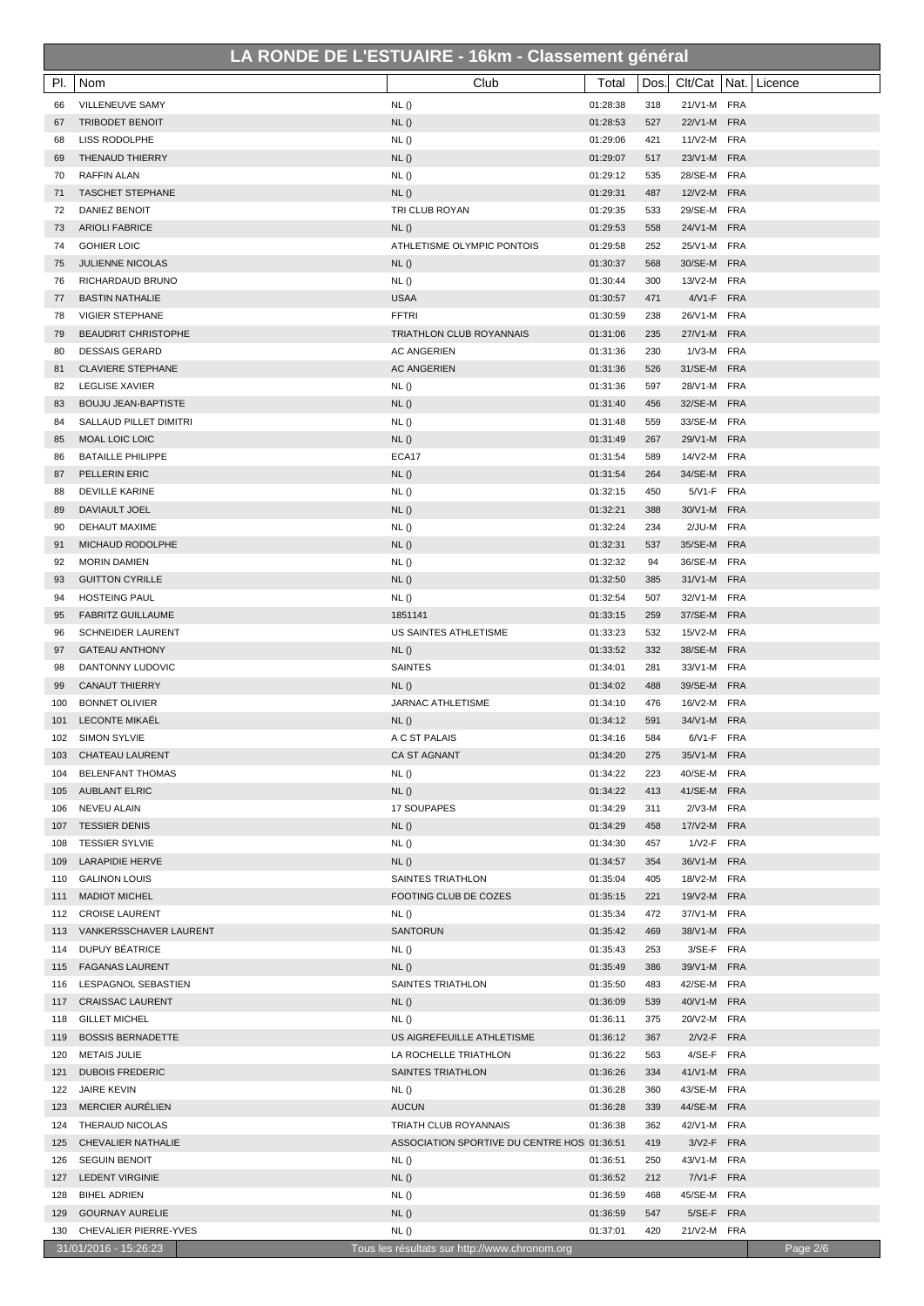| PI.        | Nom                                                 | Club                                                | Total                | Dos.       | Clt/Cat   Nat.             | Licence  |
|------------|-----------------------------------------------------|-----------------------------------------------------|----------------------|------------|----------------------------|----------|
| 66         | VILLENEUVE SAMY                                     | NL()                                                | 01:28:38             | 318        | 21/V1-M FRA                |          |
| 67         | <b>TRIBODET BENOIT</b>                              | NL()                                                | 01:28:53             | 527        | 22/V1-M FRA                |          |
| 68         | LISS RODOLPHE                                       | NL()                                                | 01:29:06             | 421        | 11/V2-M FRA                |          |
| 69         | THENAUD THIERRY                                     | NL()                                                | 01:29:07             | 517        | 23/V1-M FRA                |          |
| 70         | <b>RAFFIN ALAN</b>                                  | NL()                                                | 01:29:12             | 535        | 28/SE-M FRA                |          |
| 71         | <b>TASCHET STEPHANE</b>                             | NL()                                                | 01:29:31             | 487        | 12/V2-M FRA                |          |
| 72         | DANIEZ BENOIT                                       | TRI CLUB ROYAN                                      | 01:29:35             | 533        | 29/SE-M FRA                |          |
| 73         | <b>ARIOLI FABRICE</b>                               | NL()                                                | 01:29:53             | 558        | 24/V1-M FRA                |          |
| 74         | <b>GOHIER LOIC</b>                                  | ATHLETISME OLYMPIC PONTOIS                          | 01:29:58             | 252        | 25/V1-M FRA                |          |
| 75         | <b>JULIENNE NICOLAS</b>                             | NL()                                                | 01:30:37             | 568        | 30/SE-M FRA                |          |
| 76         | RICHARDAUD BRUNO                                    | NL()                                                | 01:30:44             | 300        | 13/V2-M FRA                |          |
| 77         | <b>BASTIN NATHALIE</b>                              | <b>USAA</b>                                         | 01:30:57             | 471        | 4/V1-F FRA                 |          |
| 78         | <b>VIGIER STEPHANE</b>                              | <b>FFTRI</b>                                        | 01:30:59             | 238        | 26/V1-M FRA                |          |
| 79<br>80   | <b>BEAUDRIT CHRISTOPHE</b><br><b>DESSAIS GERARD</b> | TRIATHLON CLUB ROYANNAIS<br><b>AC ANGERIEN</b>      | 01:31:06<br>01:31:36 | 235<br>230 | 27/V1-M FRA<br>1/V3-M FRA  |          |
| 81         | <b>CLAVIERE STEPHANE</b>                            | <b>AC ANGERIEN</b>                                  | 01:31:36             | 526        | 31/SE-M FRA                |          |
| 82         | LEGLISE XAVIER                                      | NL()                                                | 01:31:36             | 597        | 28/V1-M FRA                |          |
| 83         | <b>BOUJU JEAN-BAPTISTE</b>                          | NL()                                                | 01:31:40             | 456        | 32/SE-M FRA                |          |
| 84         | SALLAUD PILLET DIMITRI                              | NL()                                                | 01:31:48             | 559        | 33/SE-M FRA                |          |
| 85         | MOAL LOIC LOIC                                      | NL()                                                | 01:31:49             | 267        | 29/V1-M FRA                |          |
| 86         | <b>BATAILLE PHILIPPE</b>                            | ECA17                                               | 01:31:54             | 589        | 14/V2-M FRA                |          |
| 87         | PELLERIN ERIC                                       | NL()                                                | 01:31:54             | 264        | 34/SE-M FRA                |          |
| 88         | <b>DEVILLE KARINE</b>                               | NL()                                                | 01:32:15             | 450        | 5/V1-F FRA                 |          |
| 89         | DAVIAULT JOEL                                       | NL()                                                | 01:32:21             | 388        | 30/V1-M FRA                |          |
| 90         | DEHAUT MAXIME                                       | NL()                                                | 01:32:24             | 234        | 2/JU-M FRA                 |          |
| 91         | MICHAUD RODOLPHE                                    | NL()                                                | 01:32:31             | 537        | 35/SE-M FRA                |          |
| 92         | <b>MORIN DAMIEN</b>                                 | NL()                                                | 01:32:32             | 94         | 36/SE-M FRA                |          |
| 93         | <b>GUITTON CYRILLE</b>                              | NL()                                                | 01:32:50             | 385        | 31/V1-M FRA                |          |
| 94         | <b>HOSTEING PAUL</b>                                | NL()                                                | 01:32:54             | 507        | 32/V1-M FRA                |          |
| 95         | <b>FABRITZ GUILLAUME</b>                            | 1851141                                             | 01:33:15             | 259        | 37/SE-M FRA                |          |
| 96         | <b>SCHNEIDER LAURENT</b>                            | US SAINTES ATHLETISME                               | 01:33:23             | 532        | 15/V2-M FRA                |          |
| 97         | <b>GATEAU ANTHONY</b>                               | NL()                                                | 01:33:52             | 332        | 38/SE-M FRA                |          |
| 98         | DANTONNY LUDOVIC                                    | <b>SAINTES</b>                                      | 01:34:01             | 281        | 33/V1-M FRA                |          |
| 99         | <b>CANAUT THIERRY</b>                               | NL()                                                | 01:34:02             | 488        | 39/SE-M FRA                |          |
| 100<br>101 | <b>BONNET OLIVIER</b><br><b>LECONTE MIKAEL</b>      | <b>JARNAC ATHLETISME</b><br>NL()                    | 01:34:10<br>01:34:12 | 476<br>591 | 16/V2-M FRA<br>34/V1-M FRA |          |
| 102        | <b>SIMON SYLVIE</b>                                 | A C ST PALAIS                                       | 01:34:16             | 584        | 6/V1-F FRA                 |          |
| 103        | <b>CHATEAU LAURENT</b>                              | CA ST AGNANT                                        | 01:34:20             | 275        | 35/V1-M FRA                |          |
| 104        | <b>BELENFANT THOMAS</b>                             | NL()                                                | 01:34:22             | 223        | 40/SE-M FRA                |          |
| 105        | <b>AUBLANT ELRIC</b>                                | NL()                                                | 01:34:22             | 413        | 41/SE-M FRA                |          |
| 106        | NEVEU ALAIN                                         | 17 SOUPAPES                                         | 01:34:29             | 311        | 2/V3-M FRA                 |          |
| 107        | <b>TESSIER DENIS</b>                                | NL()                                                | 01:34:29             | 458        | 17/V2-M FRA                |          |
| 108        | <b>TESSIER SYLVIE</b>                               | NL()                                                | 01:34:30             | 457        | 1/V2-F FRA                 |          |
| 109        | <b>LARAPIDIE HERVE</b>                              | NL()                                                | 01:34:57             | 354        | 36/V1-M FRA                |          |
| 110        | <b>GALINON LOUIS</b>                                | SAINTES TRIATHLON                                   | 01:35:04             | 405        | 18/V2-M FRA                |          |
| 111        | <b>MADIOT MICHEL</b>                                | FOOTING CLUB DE COZES                               | 01:35:15             | 221        | 19/V2-M FRA                |          |
| 112        | <b>CROISE LAURENT</b>                               | NL()                                                | 01:35:34             | 472        | 37/V1-M FRA                |          |
| 113        | VANKERSSCHAVER LAURENT                              | <b>SANTORUN</b>                                     | 01:35:42             | 469        | 38/V1-M FRA                |          |
| 114        | DUPUY BÉATRICE                                      | NL()                                                | 01:35:43             | 253        | 3/SE-F FRA                 |          |
| 115        | <b>FAGANAS LAURENT</b>                              | NL()                                                | 01:35:49             | 386        | 39/V1-M FRA                |          |
| 116        | LESPAGNOL SEBASTIEN                                 | SAINTES TRIATHLON                                   | 01:35:50             | 483        | 42/SE-M FRA                |          |
| 117        | <b>CRAISSAC LAURENT</b>                             | NL()                                                | 01:36:09             | 539        | 40/V1-M FRA                |          |
| 118        | <b>GILLET MICHEL</b>                                | NL()                                                | 01:36:11<br>01:36:12 | 375        | 20/V2-M FRA<br>2/V2-F FRA  |          |
| 119<br>120 | <b>BOSSIS BERNADETTE</b><br><b>METAIS JULIE</b>     | US AIGREFEUILLE ATHLETISME<br>LA ROCHELLE TRIATHLON | 01:36:22             | 367<br>563 | 4/SE-F FRA                 |          |
| 121        | <b>DUBOIS FREDERIC</b>                              | SAINTES TRIATHLON                                   | 01:36:26             | 334        | 41/V1-M FRA                |          |
| 122        | <b>JAIRE KEVIN</b>                                  | NL()                                                | 01:36:28             | 360        | 43/SE-M FRA                |          |
| 123        | <b>MERCIER AURELIEN</b>                             | <b>AUCUN</b>                                        | 01:36:28             | 339        | 44/SE-M FRA                |          |
| 124        | THERAUD NICOLAS                                     | TRIATH CLUB ROYANNAIS                               | 01:36:38             | 362        | 42/V1-M FRA                |          |
| 125        | CHEVALIER NATHALIE                                  | ASSOCIATION SPORTIVE DU CENTRE HOS 01:36:51         |                      | 419        | 3/V2-F FRA                 |          |
| 126        | <b>SEGUIN BENOIT</b>                                | NL()                                                | 01:36:51             | 250        | 43/V1-M FRA                |          |
| 127        | LEDENT VIRGINIE                                     | NL()                                                | 01:36:52             | 212        | 7/V1-F FRA                 |          |
| 128        | <b>BIHEL ADRIEN</b>                                 | NL()                                                | 01:36:59             | 468        | 45/SE-M FRA                |          |
| 129        | <b>GOURNAY AURELIE</b>                              | NL()                                                | 01:36:59             | 547        | 5/SE-F FRA                 |          |
| 130        | CHEVALIER PIERRE-YVES                               | NL()                                                | 01:37:01             | 420        | 21/V2-M FRA                |          |
|            | 31/01/2016 - 15:26:23                               | Tous les résultats sur http://www.chronom.org       |                      |            |                            | Page 2/6 |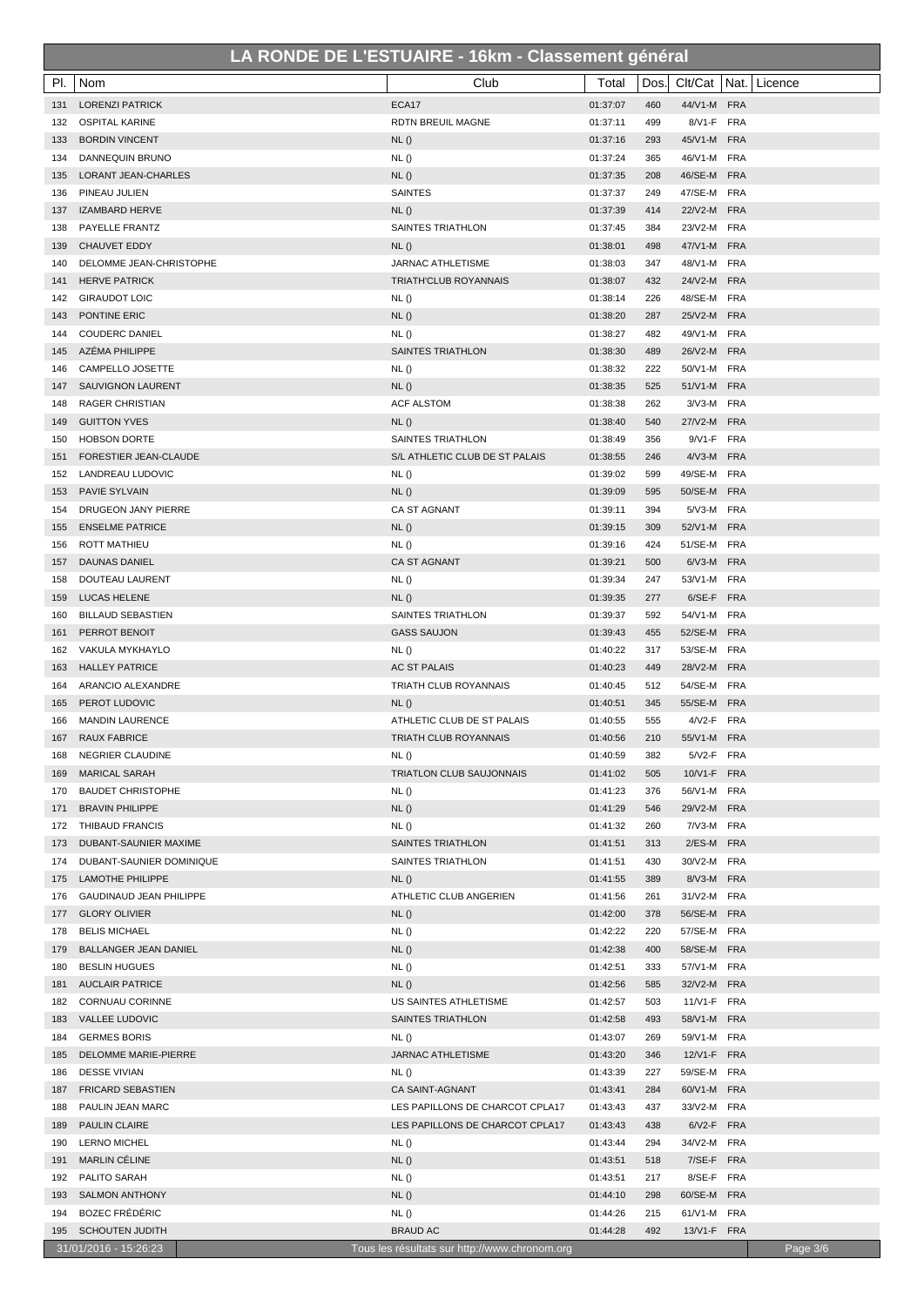| PI.        | Nom                                          | Club                                               | Total                | Dos.       |                            | Clt/Cat   Nat.   Licence |
|------------|----------------------------------------------|----------------------------------------------------|----------------------|------------|----------------------------|--------------------------|
| 131        | <b>LORENZI PATRICK</b>                       | ECA17                                              | 01:37:07             | 460        | 44/V1-M FRA                |                          |
| 132        | <b>OSPITAL KARINE</b>                        | RDTN BREUIL MAGNE                                  | 01:37:11             | 499        | 8/V1-F FRA                 |                          |
| 133        | <b>BORDIN VINCENT</b>                        | NL()                                               | 01:37:16             | 293        | 45/V1-M FRA                |                          |
| 134        | DANNEQUIN BRUNO                              | NL()                                               | 01:37:24             | 365        | 46/V1-M FRA                |                          |
| 135        | LORANT JEAN-CHARLES                          | NL()                                               | 01:37:35             | 208        | 46/SE-M FRA                |                          |
| 136        | PINEAU JULIEN                                | <b>SAINTES</b>                                     | 01:37:37             | 249        | 47/SE-M FRA                |                          |
| 137        | <b>IZAMBARD HERVE</b>                        | NL()                                               | 01:37:39             | 414        | 22/V2-M FRA                |                          |
| 138        | PAYELLE FRANTZ                               | SAINTES TRIATHLON                                  | 01:37:45             | 384        | 23/V2-M FRA                |                          |
| 139        | <b>CHAUVET EDDY</b>                          | NL()                                               | 01:38:01             | 498        | 47/V1-M FRA                |                          |
| 140        | DELOMME JEAN-CHRISTOPHE                      | <b>JARNAC ATHLETISME</b>                           | 01:38:03             | 347        | 48/V1-M FRA                |                          |
| 141        | <b>HERVE PATRICK</b>                         | <b>TRIATH'CLUB ROYANNAIS</b>                       | 01:38:07             | 432        | 24/V2-M FRA                |                          |
| 142        | <b>GIRAUDOT LOIC</b>                         | NL()                                               | 01:38:14             | 226        | 48/SE-M FRA                |                          |
| 143        | PONTINE ERIC                                 | NL()                                               | 01:38:20             | 287        | 25/V2-M FRA                |                          |
| 144        | <b>COUDERC DANIEL</b>                        | NL()                                               | 01:38:27             | 482        | 49/V1-M FRA                |                          |
| 145        | AZÉMA PHILIPPE                               | SAINTES TRIATHLON                                  | 01:38:30             | 489        | 26/V2-M FRA                |                          |
| 146        | CAMPELLO JOSETTE                             | NL()                                               | 01:38:32             | 222        | 50/V1-M FRA                |                          |
| 147        | SAUVIGNON LAURENT                            | NL()                                               | 01:38:35             | 525        | 51/V1-M FRA                |                          |
| 148        | <b>RAGER CHRISTIAN</b>                       | <b>ACF ALSTOM</b>                                  | 01:38:38             | 262        | 3/V3-M FRA                 |                          |
| 149        | <b>GUITTON YVES</b>                          | NL()                                               | 01:38:40             | 540        | 27/V2-M FRA                |                          |
| 150        | <b>HOBSON DORTE</b>                          | SAINTES TRIATHLON                                  | 01:38:49             | 356        | 9/V1-F FRA                 |                          |
| 151        | FORESTIER JEAN-CLAUDE                        | S/L ATHLETIC CLUB DE ST PALAIS                     | 01:38:55             | 246        | 4/V3-M FRA                 |                          |
| 152        | LANDREAU LUDOVIC                             | NL()                                               | 01:39:02             | 599        | 49/SE-M FRA                |                          |
| 153        | <b>PAVIE SYLVAIN</b>                         | NL()                                               | 01:39:09             | 595        | 50/SE-M FRA                |                          |
| 154        | DRUGEON JANY PIERRE                          | CA ST AGNANT                                       | 01:39:11             | 394        | 5/V3-M FRA                 |                          |
| 155        | <b>ENSELME PATRICE</b>                       | NL()                                               | 01:39:15             | 309        | 52/V1-M FRA                |                          |
| 156        | <b>ROTT MATHIEU</b>                          | NL()                                               | 01:39:16             | 424        | 51/SE-M FRA                |                          |
| 157        | <b>DAUNAS DANIEL</b>                         | <b>CA ST AGNANT</b>                                | 01:39:21<br>01:39:34 | 500<br>247 | 6/V3-M FRA<br>53/V1-M FRA  |                          |
| 158<br>159 | DOUTEAU LAURENT<br><b>LUCAS HELENE</b>       | NL()<br>NL()                                       | 01:39:35             | 277        | 6/SE-F FRA                 |                          |
| 160        | <b>BILLAUD SEBASTIEN</b>                     | SAINTES TRIATHLON                                  | 01:39:37             | 592        | 54/V1-M FRA                |                          |
| 161        | PERROT BENOIT                                | <b>GASS SAUJON</b>                                 | 01:39:43             | 455        | 52/SE-M FRA                |                          |
| 162        | VAKULA MYKHAYLO                              | NL()                                               | 01:40:22             | 317        | 53/SE-M FRA                |                          |
| 163        | <b>HALLEY PATRICE</b>                        | AC ST PALAIS                                       | 01:40:23             | 449        | 28/V2-M FRA                |                          |
| 164        | ARANCIO ALEXANDRE                            | TRIATH CLUB ROYANNAIS                              | 01:40:45             | 512        | 54/SE-M FRA                |                          |
| 165        | PEROT LUDOVIC                                | NL()                                               | 01:40:51             | 345        | 55/SE-M FRA                |                          |
| 166        | <b>MANDIN LAURENCE</b>                       | ATHLETIC CLUB DE ST PALAIS                         | 01:40:55             | 555        | 4/V2-F FRA                 |                          |
| 167        | <b>RAUX FABRICE</b>                          | <b>TRIATH CLUB ROYANNAIS</b>                       | 01:40:56             | 210        | 55/V1-M FRA                |                          |
| 168        | <b>NEGRIER CLAUDINE</b>                      | NL()                                               | 01:40:59             | 382        | 5/V2-F FRA                 |                          |
| 169        | <b>MARICAL SARAH</b>                         | <b>TRIATLON CLUB SAUJONNAIS</b>                    | 01:41:02             | 505        | 10/V1-F FRA                |                          |
| 170        | <b>BAUDET CHRISTOPHE</b>                     | NL()                                               | 01:41:23             | 376        | 56/V1-M FRA                |                          |
| 171        | <b>BRAVIN PHILIPPE</b>                       | NL()                                               | 01:41:29             | 546        | 29/V2-M FRA                |                          |
| 172        | THIBAUD FRANCIS                              | NL()                                               | 01:41:32             | 260        | 7/V3-M FRA                 |                          |
| 173        | DUBANT-SAUNIER MAXIME                        | SAINTES TRIATHLON                                  | 01:41:51             | 313        | 2/ES-M FRA                 |                          |
| 174        | DUBANT-SAUNIER DOMINIQUE                     | SAINTES TRIATHLON                                  | 01:41:51             | 430        | 30/V2-M FRA                |                          |
| 175        | <b>LAMOTHE PHILIPPE</b>                      | NL()                                               | 01:41:55             | 389        | 8/V3-M FRA                 |                          |
| 176        | GAUDINAUD JEAN PHILIPPE                      | ATHLETIC CLUB ANGERIEN                             | 01:41:56             | 261        | 31/V2-M FRA                |                          |
| 177        | <b>GLORY OLIVIER</b>                         | NL()                                               | 01:42:00             | 378        | 56/SE-M FRA                |                          |
| 178        | <b>BELIS MICHAEL</b>                         | NL()                                               | 01:42:22             | 220        | 57/SE-M FRA                |                          |
| 179        | <b>BALLANGER JEAN DANIEL</b>                 | NL()                                               | 01:42:38             | 400        | 58/SE-M FRA                |                          |
| 180        | <b>BESLIN HUGUES</b>                         | NL()                                               | 01:42:51             | 333        | 57/V1-M FRA                |                          |
| 181        | <b>AUCLAIR PATRICE</b>                       | NL()                                               | 01:42:56             | 585        | 32/V2-M FRA                |                          |
| 182        | CORNUAU CORINNE                              | US SAINTES ATHLETISME                              | 01:42:57             | 503        | 11/V1-F FRA                |                          |
| 183        | VALLEE LUDOVIC                               | SAINTES TRIATHLON                                  | 01:42:58             | 493        | 58/V1-M FRA                |                          |
| 184        | <b>GERMES BORIS</b>                          | NL()                                               | 01:43:07             | 269        | 59/V1-M FRA                |                          |
| 185        | DELOMME MARIE-PIERRE                         | JARNAC ATHLETISME                                  | 01:43:20             | 346        | 12/V1-F FRA                |                          |
| 186        | <b>DESSE VIVIAN</b>                          | NL()                                               | 01:43:39             | 227        | 59/SE-M FRA                |                          |
| 187<br>188 | <b>FRICARD SEBASTIEN</b><br>PAULIN JEAN MARC | CA SAINT-AGNANT<br>LES PAPILLONS DE CHARCOT CPLA17 | 01:43:41<br>01:43:43 | 284<br>437 | 60/V1-M FRA<br>33/V2-M FRA |                          |
| 189        | <b>PAULIN CLAIRE</b>                         | LES PAPILLONS DE CHARCOT CPLA17                    | 01:43:43             | 438        | 6/V2-F FRA                 |                          |
| 190        | <b>LERNO MICHEL</b>                          | NL()                                               | 01:43:44             | 294        | 34/V2-M FRA                |                          |
| 191        | <b>MARLIN CELINE</b>                         | NL()                                               | 01:43:51             | 518        | 7/SE-F FRA                 |                          |
| 192        | PALITO SARAH                                 | NL()                                               | 01:43:51             | 217        | 8/SE-F FRA                 |                          |
| 193        | <b>SALMON ANTHONY</b>                        | NL()                                               | 01:44:10             | 298        | 60/SE-M FRA                |                          |
| 194        | <b>BOZEC FRÉDÉRIC</b>                        | NL()                                               | 01:44:26             | 215        | 61/V1-M FRA                |                          |
| 195        | <b>SCHOUTEN JUDITH</b>                       | <b>BRAUD AC</b>                                    | 01:44:28             | 492        | 13/V1-F FRA                |                          |
|            | 31/01/2016 - 15:26:23                        | Tous les résultats sur http://www.chronom.org      |                      |            |                            | Page 3/6                 |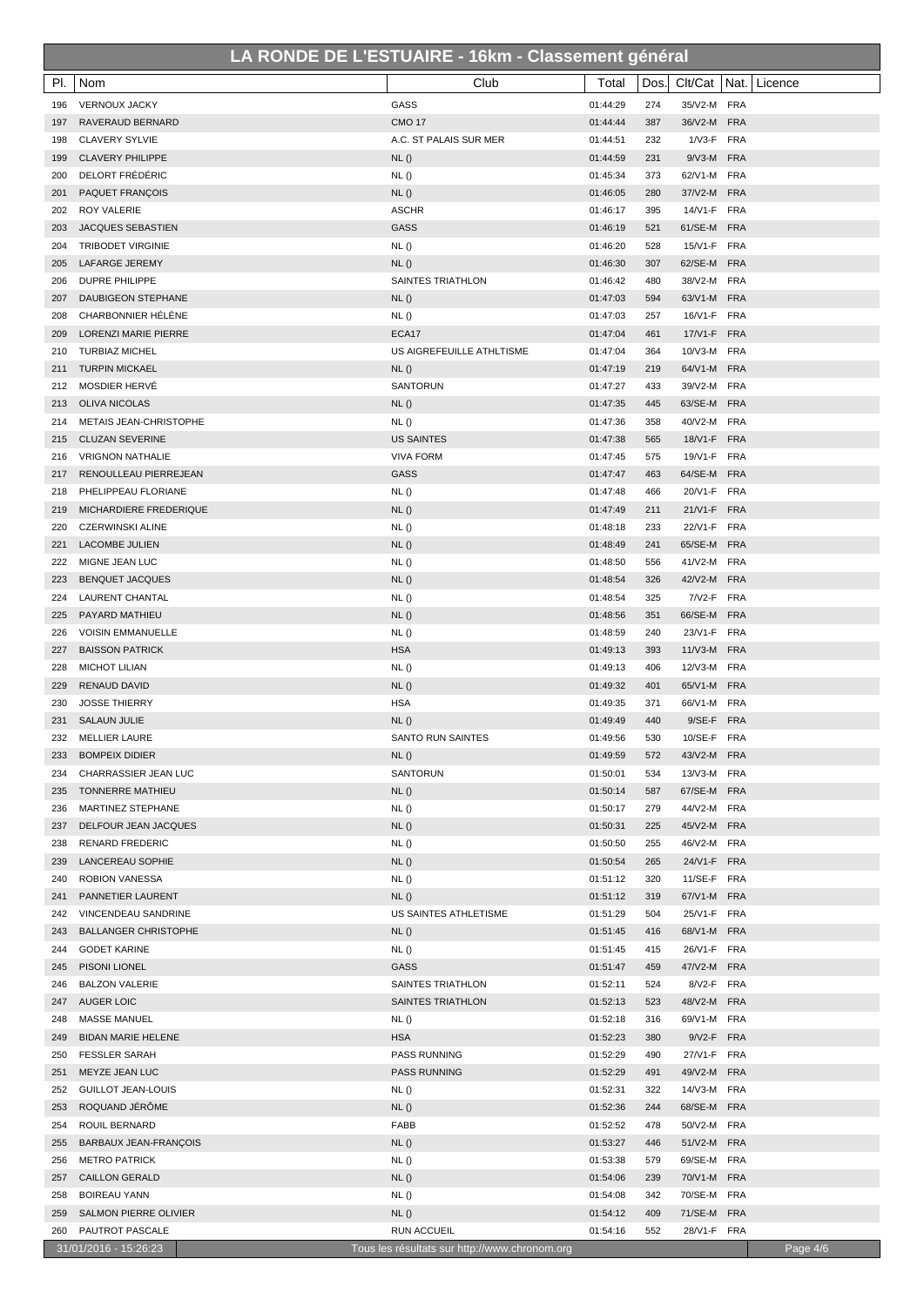| PI.        | Nom                                                | Club                                          | Total                | Dos.       |                            | Clt/Cat   Nat.   Licence |
|------------|----------------------------------------------------|-----------------------------------------------|----------------------|------------|----------------------------|--------------------------|
| 196        | <b>VERNOUX JACKY</b>                               | GASS                                          | 01:44:29             | 274        | 35/V2-M FRA                |                          |
| 197        | RAVERAUD BERNARD                                   | <b>CMO 17</b>                                 | 01:44:44             | 387        | 36/V2-M FRA                |                          |
| 198        | <b>CLAVERY SYLVIE</b>                              | A.C. ST PALAIS SUR MER                        | 01:44:51             | 232        | 1/V3-F FRA                 |                          |
| 199        | <b>CLAVERY PHILIPPE</b>                            | NL()                                          | 01:44:59             | 231        | 9/V3-M FRA                 |                          |
| 200        | DELORT FRÉDÉRIC                                    | NL()                                          | 01:45:34             | 373        | 62/V1-M FRA                |                          |
| 201        | <b>PAQUET FRANÇOIS</b>                             | NL()                                          | 01:46:05             | 280        | 37/V2-M FRA                |                          |
| 202        | ROY VALERIE                                        | <b>ASCHR</b>                                  | 01:46:17             | 395        | 14/V1-F FRA                |                          |
| 203        | <b>JACQUES SEBASTIEN</b>                           | GASS                                          | 01:46:19             | 521        | 61/SE-M FRA                |                          |
| 204        | <b>TRIBODET VIRGINIE</b>                           | NL()                                          | 01:46:20             | 528        | 15/V1-F FRA                |                          |
| 205        | <b>LAFARGE JEREMY</b>                              | NL()                                          | 01:46:30             | 307        | 62/SE-M FRA                |                          |
| 206        | DUPRE PHILIPPE                                     | <b>SAINTES TRIATHLON</b>                      | 01:46:42             | 480        | 38/V2-M FRA                |                          |
| 207        | DAUBIGEON STEPHANE                                 | NL()                                          | 01:47:03             | 594        | 63/V1-M FRA                |                          |
| 208        | CHARBONNIER HÉLÈNE                                 | NL()                                          | 01:47:03             | 257        | 16/V1-F FRA                |                          |
| 209        | LORENZI MARIE PIERRE                               | ECA17                                         | 01:47:04             | 461        | 17/V1-F FRA                |                          |
| 210        | <b>TURBIAZ MICHEL</b>                              | US AIGREFEUILLE ATHLTISME                     | 01:47:04             | 364        | 10/V3-M FRA                |                          |
| 211        | <b>TURPIN MICKAEL</b>                              | NL()                                          | 01:47:19             | 219        | 64/V1-M FRA                |                          |
| 212        | MOSDIER HERVÉ                                      | SANTORUN                                      | 01:47:27             | 433        | 39/V2-M FRA                |                          |
| 213        | <b>OLIVA NICOLAS</b>                               | NL()                                          | 01:47:35             | 445        | 63/SE-M FRA                |                          |
| 214        | METAIS JEAN-CHRISTOPHE                             | NL()                                          | 01:47:36             | 358        | 40/V2-M FRA                |                          |
| 215        | <b>CLUZAN SEVERINE</b>                             | <b>US SAINTES</b>                             | 01:47:38             | 565        | 18/V1-F FRA                |                          |
| 216        | <b>VRIGNON NATHALIE</b>                            | <b>VIVA FORM</b>                              | 01:47:45             | 575        | 19/V1-F FRA                |                          |
| 217        | RENOULLEAU PIERREJEAN                              | <b>GASS</b>                                   | 01:47:47             | 463        | 64/SE-M FRA                |                          |
| 218<br>219 | PHELIPPEAU FLORIANE<br>MICHARDIERE FREDERIQUE      | NL()<br>NL()                                  | 01:47:48<br>01:47:49 | 466<br>211 | 20/V1-F FRA<br>21/V1-F FRA |                          |
| 220        | <b>CZERWINSKI ALINE</b>                            | NL()                                          | 01:48:18             | 233        | 22/V1-F FRA                |                          |
| 221        | <b>LACOMBE JULIEN</b>                              | NL()                                          | 01:48:49             | 241        | 65/SE-M FRA                |                          |
| 222        | MIGNE JEAN LUC                                     | NL()                                          | 01:48:50             | 556        | 41/V2-M FRA                |                          |
| 223        | <b>BENQUET JACQUES</b>                             | NL()                                          | 01:48:54             | 326        | 42/V2-M FRA                |                          |
| 224        | LAURENT CHANTAL                                    | NL()                                          | 01:48:54             | 325        | 7/V2-F FRA                 |                          |
| 225        | PAYARD MATHIEU                                     | NL()                                          | 01:48:56             | 351        | 66/SE-M FRA                |                          |
| 226        | <b>VOISIN EMMANUELLE</b>                           | NL()                                          | 01:48:59             | 240        | 23/V1-F FRA                |                          |
| 227        | <b>BAISSON PATRICK</b>                             | <b>HSA</b>                                    | 01:49:13             | 393        | 11/V3-M FRA                |                          |
| 228        | <b>MICHOT LILIAN</b>                               | NL()                                          | 01:49:13             | 406        | 12/V3-M FRA                |                          |
| 229        | <b>RENAUD DAVID</b>                                | NL()                                          | 01:49:32             | 401        | 65/V1-M FRA                |                          |
| 230        | <b>JOSSE THIERRY</b>                               | <b>HSA</b>                                    | 01:49:35             | 371        | 66/V1-M FRA                |                          |
| 231        | <b>SALAUN JULIE</b>                                | NL()                                          | 01:49:49             | 440        | 9/SE-F FRA                 |                          |
| 232        | <b>MELLIER LAURE</b>                               | <b>SANTO RUN SAINTES</b>                      | 01:49:56             | 530        | 10/SE-F FRA                |                          |
| 233        | <b>BOMPEIX DIDIER</b>                              | NL()                                          | 01:49:59             | 572        | 43/V2-M FRA                |                          |
| 234        | CHARRASSIER JEAN LUC                               | SANTORUN                                      | 01:50:01             | 534        | 13/V3-M FRA                |                          |
| 235        | <b>TONNERRE MATHIEU</b>                            | NL()                                          | 01:50:14             | 587        | 67/SE-M FRA                |                          |
| 236        | <b>MARTINEZ STEPHANE</b>                           | NL()                                          | 01:50:17             | 279        | 44/V2-M FRA                |                          |
| 237        | DELFOUR JEAN JACQUES                               | NL()                                          | 01:50:31             | 225        | 45/V2-M FRA                |                          |
| 238        | <b>RENARD FREDERIC</b>                             | NL()                                          | 01:50:50             | 255        | 46/V2-M FRA                |                          |
| 239        | <b>LANCEREAU SOPHIE</b>                            | NL()                                          | 01:50:54             | 265        | 24/V1-F FRA                |                          |
| 240        | ROBION VANESSA                                     | NL()                                          | 01:51:12             | 320        | 11/SE-F FRA                |                          |
| 241        | PANNETIER LAURENT                                  | NL()                                          | 01:51:12             | 319        | 67/V1-M FRA                |                          |
| 242        | VINCENDEAU SANDRINE                                | US SAINTES ATHLETISME                         | 01:51:29             | 504        | 25/V1-F FRA                |                          |
| 243<br>244 | <b>BALLANGER CHRISTOPHE</b><br><b>GODET KARINE</b> | NL()<br>NL()                                  | 01:51:45<br>01:51:45 | 416<br>415 | 68/V1-M FRA<br>26/V1-F FRA |                          |
| 245        | PISONI LIONEL                                      | GASS                                          | 01:51:47             | 459        | 47/V2-M FRA                |                          |
| 246        | <b>BALZON VALERIE</b>                              | SAINTES TRIATHLON                             | 01:52:11             | 524        | 8/V2-F FRA                 |                          |
| 247        | AUGER LOIC                                         | SAINTES TRIATHLON                             | 01:52:13             | 523        | 48/V2-M FRA                |                          |
| 248        | <b>MASSE MANUEL</b>                                | NL()                                          | 01:52:18             | 316        | 69/V1-M FRA                |                          |
| 249        | <b>BIDAN MARIE HELENE</b>                          | <b>HSA</b>                                    | 01:52:23             | 380        | 9/V2-F FRA                 |                          |
| 250        | <b>FESSLER SARAH</b>                               | PASS RUNNING                                  | 01:52:29             | 490        | 27/V1-F FRA                |                          |
| 251        | MEYZE JEAN LUC                                     | PASS RUNNING                                  | 01:52:29             | 491        | 49/V2-M FRA                |                          |
| 252        | <b>GUILLOT JEAN-LOUIS</b>                          | NL()                                          | 01:52:31             | 322        | 14/V3-M FRA                |                          |
| 253        | ROQUAND JEROME                                     | NL()                                          | 01:52:36             | 244        | 68/SE-M FRA                |                          |
| 254        | ROUIL BERNARD                                      | FABB                                          | 01:52:52             | 478        | 50/V2-M FRA                |                          |
| 255        | <b>BARBAUX JEAN-FRANÇOIS</b>                       | NL()                                          | 01:53:27             | 446        | 51/V2-M FRA                |                          |
| 256        | <b>METRO PATRICK</b>                               | NL()                                          | 01:53:38             | 579        | 69/SE-M FRA                |                          |
| 257        | <b>CAILLON GERALD</b>                              | NL()                                          | 01:54:06             | 239        | 70/V1-M FRA                |                          |
| 258        | <b>BOIREAU YANN</b>                                | NL()                                          | 01:54:08             | 342        | 70/SE-M FRA                |                          |
| 259        | SALMON PIERRE OLIVIER                              | NL()                                          | 01:54:12             | 409        | 71/SE-M FRA                |                          |
| 260        | PAUTROT PASCALE                                    | RUN ACCUEIL                                   | 01:54:16             | 552        | 28/V1-F FRA                |                          |
|            | 31/01/2016 - 15:26:23                              | Tous les résultats sur http://www.chronom.org |                      |            |                            | Page 4/6                 |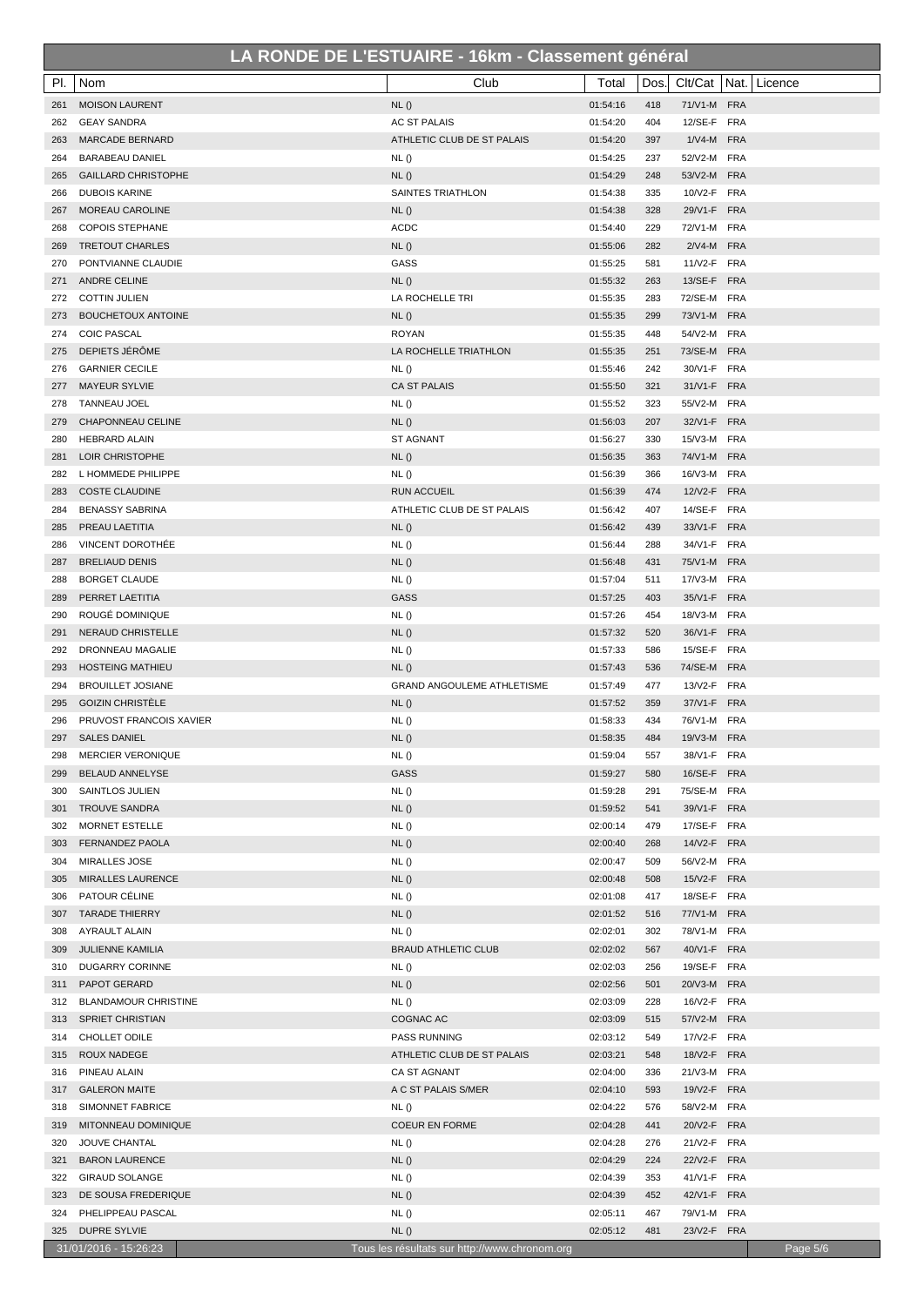|     |                             |                                               | $\sim$ $\sim$ $\sim$ $\sim$ $\sim$<br>10000111011190110101 |          |      |             |                |          |
|-----|-----------------------------|-----------------------------------------------|------------------------------------------------------------|----------|------|-------------|----------------|----------|
| PI. | Nom                         | Club                                          |                                                            | Total    | Dos. | Clt/Cat     | Nat.   Licence |          |
| 261 | <b>MOISON LAURENT</b>       | NL()                                          |                                                            | 01:54:16 | 418  | 71/V1-M FRA |                |          |
| 262 | <b>GEAY SANDRA</b>          | <b>AC ST PALAIS</b>                           |                                                            | 01:54:20 | 404  | 12/SE-F FRA |                |          |
| 263 | <b>MARCADE BERNARD</b>      | ATHLETIC CLUB DE ST PALAIS                    |                                                            | 01:54:20 | 397  | 1/V4-M FRA  |                |          |
| 264 | <b>BARABEAU DANIEL</b>      | NL()                                          |                                                            | 01:54:25 | 237  | 52/V2-M FRA |                |          |
| 265 | <b>GAILLARD CHRISTOPHE</b>  | NL()                                          |                                                            | 01:54:29 | 248  | 53/V2-M FRA |                |          |
| 266 | <b>DUBOIS KARINE</b>        | SAINTES TRIATHLON                             |                                                            | 01:54:38 | 335  | 10/V2-F FRA |                |          |
| 267 | MOREAU CAROLINE             | NL()                                          |                                                            | 01:54:38 | 328  | 29/V1-F FRA |                |          |
| 268 | <b>COPOIS STEPHANE</b>      | <b>ACDC</b>                                   |                                                            | 01:54:40 | 229  | 72/V1-M FRA |                |          |
| 269 | <b>TRETOUT CHARLES</b>      | NL()                                          |                                                            | 01:55:06 | 282  | 2/V4-M FRA  |                |          |
| 270 | PONTVIANNE CLAUDIE          | GASS                                          |                                                            | 01:55:25 | 581  | 11/V2-F FRA |                |          |
| 271 | ANDRE CELINE                | NL()                                          |                                                            | 01:55:32 | 263  | 13/SE-F FRA |                |          |
| 272 | <b>COTTIN JULIEN</b>        | LA ROCHELLE TRI                               |                                                            | 01:55:35 | 283  | 72/SE-M FRA |                |          |
| 273 | <b>BOUCHETOUX ANTOINE</b>   | NL()                                          |                                                            | 01:55:35 | 299  | 73/V1-M FRA |                |          |
| 274 | <b>COIC PASCAL</b>          | <b>ROYAN</b>                                  |                                                            | 01:55:35 | 448  | 54/V2-M FRA |                |          |
| 275 | DEPIETS JÉRÔME              | LA ROCHELLE TRIATHLON                         |                                                            | 01:55:35 | 251  | 73/SE-M FRA |                |          |
| 276 | <b>GARNIER CECILE</b>       | NL()                                          |                                                            | 01:55:46 | 242  | 30/V1-F FRA |                |          |
| 277 | <b>MAYEUR SYLVIE</b>        | <b>CA ST PALAIS</b>                           |                                                            | 01:55:50 | 321  | 31/V1-F FRA |                |          |
| 278 | <b>TANNEAU JOEL</b>         | NL()                                          |                                                            | 01:55:52 | 323  | 55/V2-M FRA |                |          |
| 279 | CHAPONNEAU CELINE           | NL()                                          |                                                            | 01:56:03 | 207  | 32/V1-F FRA |                |          |
| 280 | <b>HEBRARD ALAIN</b>        | ST AGNANT                                     |                                                            | 01:56:27 | 330  | 15/V3-M FRA |                |          |
| 281 | LOIR CHRISTOPHE             | NL()                                          |                                                            | 01:56:35 | 363  | 74/V1-M FRA |                |          |
| 282 | L HOMMEDE PHILIPPE          | NL()                                          |                                                            | 01:56:39 | 366  | 16/V3-M FRA |                |          |
| 283 | <b>COSTE CLAUDINE</b>       | <b>RUN ACCUEIL</b>                            |                                                            | 01:56:39 | 474  | 12/V2-F FRA |                |          |
| 284 | <b>BENASSY SABRINA</b>      | ATHLETIC CLUB DE ST PALAIS                    |                                                            | 01:56:42 | 407  | 14/SE-F FRA |                |          |
|     |                             |                                               |                                                            |          | 439  | 33/V1-F FRA |                |          |
| 285 | PREAU LAETITIA              | NL()                                          |                                                            | 01:56:42 |      |             |                |          |
| 286 | <b>VINCENT DOROTHÉE</b>     | NL()                                          |                                                            | 01:56:44 | 288  | 34/V1-F FRA |                |          |
| 287 | <b>BRELIAUD DENIS</b>       | NL()                                          |                                                            | 01:56:48 | 431  | 75/V1-M FRA |                |          |
| 288 | <b>BORGET CLAUDE</b>        | NL()                                          |                                                            | 01:57:04 | 511  | 17/V3-M FRA |                |          |
| 289 | PERRET LAETITIA             | <b>GASS</b>                                   |                                                            | 01:57:25 | 403  | 35/V1-F FRA |                |          |
| 290 | ROUGÉ DOMINIQUE             | NL()                                          |                                                            | 01:57:26 | 454  | 18/V3-M FRA |                |          |
| 291 | NERAUD CHRISTELLE           | NL()                                          |                                                            | 01:57:32 | 520  | 36/V1-F FRA |                |          |
| 292 | DRONNEAU MAGALIE            | NL()                                          |                                                            | 01:57:33 | 586  | 15/SE-F FRA |                |          |
| 293 | <b>HOSTEING MATHIEU</b>     | NL()                                          |                                                            | 01:57:43 | 536  | 74/SE-M FRA |                |          |
| 294 | <b>BROUILLET JOSIANE</b>    | <b>GRAND ANGOULEME ATHLETISME</b>             |                                                            | 01:57:49 | 477  | 13/V2-F FRA |                |          |
| 295 | <b>GOIZIN CHRISTELE</b>     | NL()                                          |                                                            | 01:57:52 | 359  | 37/V1-F FRA |                |          |
| 296 | PRUVOST FRANCOIS XAVIER     | NL()                                          |                                                            | 01:58:33 | 434  | 76/V1-M FRA |                |          |
| 297 | <b>SALES DANIEL</b>         | NL()                                          |                                                            | 01:58:35 | 484  | 19/V3-M FRA |                |          |
| 298 | <b>MERCIER VERONIQUE</b>    | NL()                                          |                                                            | 01:59:04 | 557  | 38/V1-F FRA |                |          |
| 299 | <b>BELAUD ANNELYSE</b>      | <b>GASS</b>                                   |                                                            | 01:59:27 | 580  | 16/SE-F FRA |                |          |
| 300 | SAINTLOS JULIEN             | NL()                                          |                                                            | 01:59:28 | 291  | 75/SE-M FRA |                |          |
| 301 | <b>TROUVE SANDRA</b>        | NL()                                          |                                                            | 01:59:52 | 541  | 39/V1-F FRA |                |          |
| 302 | MORNET ESTELLE              | NL()                                          |                                                            | 02:00:14 | 479  | 17/SE-F FRA |                |          |
| 303 | <b>FERNANDEZ PAOLA</b>      | NL()                                          |                                                            | 02:00:40 | 268  | 14/V2-F FRA |                |          |
| 304 | <b>MIRALLES JOSE</b>        | NL()                                          |                                                            | 02:00:47 | 509  | 56/V2-M FRA |                |          |
| 305 | <b>MIRALLES LAURENCE</b>    | NL()                                          |                                                            | 02:00:48 | 508  | 15/V2-F FRA |                |          |
| 306 | PATOUR CÉLINE               | NL()                                          |                                                            | 02:01:08 | 417  | 18/SE-F FRA |                |          |
| 307 | <b>TARADE THIERRY</b>       | NL()                                          |                                                            | 02:01:52 | 516  | 77/V1-M FRA |                |          |
| 308 | <b>AYRAULT ALAIN</b>        | NL()                                          |                                                            | 02:02:01 | 302  | 78/V1-M FRA |                |          |
| 309 | <b>JULIENNE KAMILIA</b>     | <b>BRAUD ATHLETIC CLUB</b>                    |                                                            | 02:02:02 | 567  | 40/V1-F FRA |                |          |
| 310 | DUGARRY CORINNE             | NL()                                          |                                                            | 02:02:03 | 256  | 19/SE-F FRA |                |          |
| 311 | PAPOT GERARD                | NL()                                          |                                                            | 02:02:56 | 501  | 20/V3-M FRA |                |          |
| 312 | <b>BLANDAMOUR CHRISTINE</b> | NL()                                          |                                                            | 02:03:09 | 228  | 16/V2-F FRA |                |          |
| 313 | SPRIET CHRISTIAN            | COGNAC AC                                     |                                                            | 02:03:09 | 515  | 57/V2-M FRA |                |          |
| 314 | CHOLLET ODILE               | PASS RUNNING                                  |                                                            | 02:03:12 | 549  | 17/V2-F FRA |                |          |
| 315 | ROUX NADEGE                 | ATHLETIC CLUB DE ST PALAIS                    |                                                            | 02:03:21 | 548  | 18/V2-F FRA |                |          |
| 316 | PINEAU ALAIN                | CA ST AGNANT                                  |                                                            | 02:04:00 | 336  | 21/V3-M FRA |                |          |
| 317 | <b>GALERON MAITE</b>        | A C ST PALAIS S/MER                           |                                                            | 02:04:10 | 593  | 19/V2-F FRA |                |          |
| 318 | SIMONNET FABRICE            | NL()                                          |                                                            | 02:04:22 | 576  | 58/V2-M FRA |                |          |
| 319 | MITONNEAU DOMINIQUE         | <b>COEUR EN FORME</b>                         |                                                            | 02:04:28 | 441  | 20/V2-F FRA |                |          |
| 320 | JOUVE CHANTAL               | NL()                                          |                                                            | 02:04:28 | 276  | 21/V2-F FRA |                |          |
| 321 | <b>BARON LAURENCE</b>       | NL()                                          |                                                            | 02:04:29 | 224  | 22/V2-F FRA |                |          |
| 322 | <b>GIRAUD SOLANGE</b>       | NL()                                          |                                                            | 02:04:39 | 353  | 41/V1-F FRA |                |          |
| 323 | DE SOUSA FREDERIQUE         | NL()                                          |                                                            | 02:04:39 | 452  | 42/V1-F FRA |                |          |
| 324 | PHELIPPEAU PASCAL           | NL()                                          |                                                            | 02:05:11 | 467  | 79/V1-M FRA |                |          |
| 325 | <b>DUPRE SYLVIE</b>         | NL()                                          |                                                            | 02:05:12 | 481  | 23/V2-F FRA |                |          |
|     | 31/01/2016 - 15:26:23       | Tous les résultats sur http://www.chronom.org |                                                            |          |      |             |                | Page 5/6 |